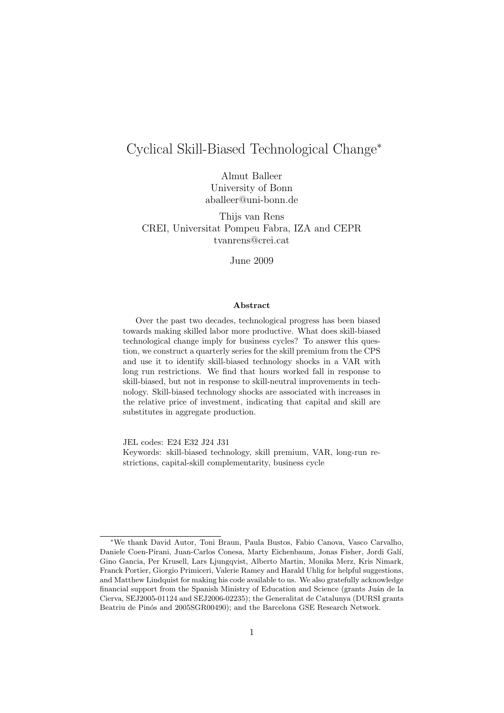## Cyclical Skill-Biased Technological Change<sup>∗</sup>

Almut Balleer University of Bonn aballeer@uni-bonn.de

Thijs van Rens CREI, Universitat Pompeu Fabra, IZA and CEPR tvanrens@crei.cat

June 2009

#### Abstract

Over the past two decades, technological progress has been biased towards making skilled labor more productive. What does skill-biased technological change imply for business cycles? To answer this question, we construct a quarterly series for the skill premium from the CPS and use it to identify skill-biased technology shocks in a VAR with long run restrictions. We find that hours worked fall in response to skill-biased, but not in response to skill-neutral improvements in technology. Skill-biased technology shocks are associated with increases in the relative price of investment, indicating that capital and skill are substitutes in aggregate production.

JEL codes: E24 E32 J24 J31

Keywords: skill-biased technology, skill premium, VAR, long-run restrictions, capital-skill complementarity, business cycle

<sup>∗</sup>We thank David Autor, Toni Braun, Paula Bustos, Fabio Canova, Vasco Carvalho, Daniele Coen-Pirani, Juan-Carlos Conesa, Marty Eichenbaum, Jonas Fisher, Jordi Gal´ı, Gino Gancia, Per Krusell, Lars Ljungqvist, Alberto Martin, Monika Merz, Kris Nimark, Franck Portier, Giorgio Primiceri, Valerie Ramey and Harald Uhlig for helpful suggestions, and Matthew Lindquist for making his code available to us. We also gratefully acknowledge financial support from the Spanish Ministry of Education and Science (grants Juán de la Cierva, SEJ2005-01124 and SEJ2006-02235); the Generalitat de Catalunya (DURSI grants Beatriu de Pinós and 2005SGR00490); and the Barcelona GSE Research Network.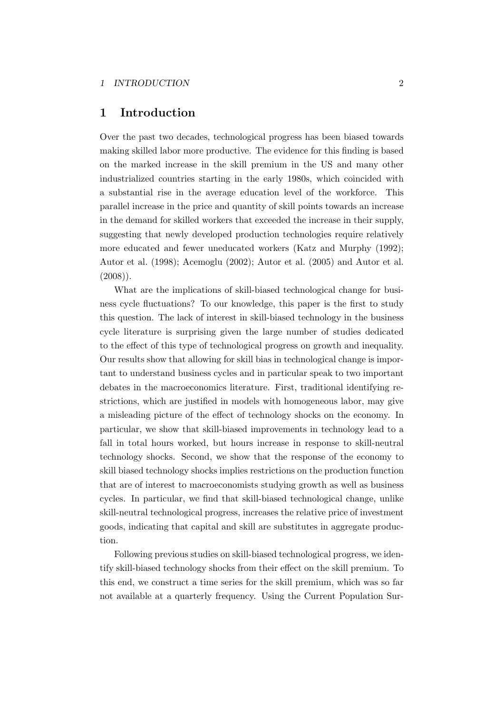### 1 Introduction

Over the past two decades, technological progress has been biased towards making skilled labor more productive. The evidence for this finding is based on the marked increase in the skill premium in the US and many other industrialized countries starting in the early 1980s, which coincided with a substantial rise in the average education level of the workforce. This parallel increase in the price and quantity of skill points towards an increase in the demand for skilled workers that exceeded the increase in their supply, suggesting that newly developed production technologies require relatively more educated and fewer uneducated workers (Katz and Murphy (1992); Autor et al. (1998); Acemoglu (2002); Autor et al. (2005) and Autor et al.  $(2008)$ ).

What are the implications of skill-biased technological change for business cycle fluctuations? To our knowledge, this paper is the first to study this question. The lack of interest in skill-biased technology in the business cycle literature is surprising given the large number of studies dedicated to the effect of this type of technological progress on growth and inequality. Our results show that allowing for skill bias in technological change is important to understand business cycles and in particular speak to two important debates in the macroeconomics literature. First, traditional identifying restrictions, which are justified in models with homogeneous labor, may give a misleading picture of the effect of technology shocks on the economy. In particular, we show that skill-biased improvements in technology lead to a fall in total hours worked, but hours increase in response to skill-neutral technology shocks. Second, we show that the response of the economy to skill biased technology shocks implies restrictions on the production function that are of interest to macroeconomists studying growth as well as business cycles. In particular, we find that skill-biased technological change, unlike skill-neutral technological progress, increases the relative price of investment goods, indicating that capital and skill are substitutes in aggregate production.

Following previous studies on skill-biased technological progress, we identify skill-biased technology shocks from their effect on the skill premium. To this end, we construct a time series for the skill premium, which was so far not available at a quarterly frequency. Using the Current Population Sur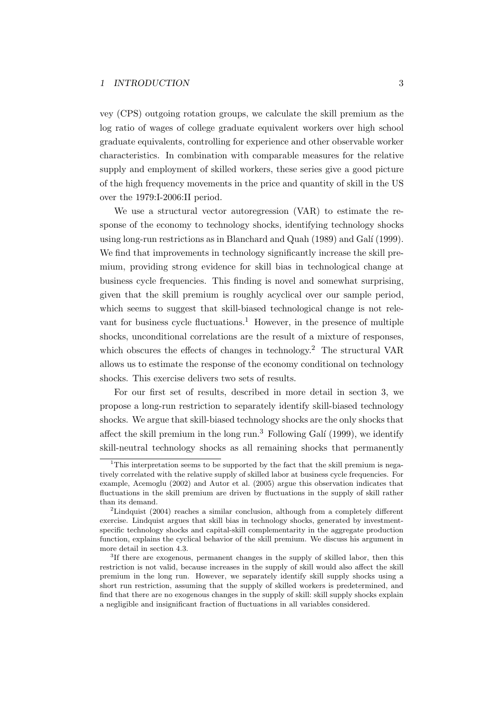vey (CPS) outgoing rotation groups, we calculate the skill premium as the log ratio of wages of college graduate equivalent workers over high school graduate equivalents, controlling for experience and other observable worker characteristics. In combination with comparable measures for the relative supply and employment of skilled workers, these series give a good picture of the high frequency movements in the price and quantity of skill in the US over the 1979:I-2006:II period.

We use a structural vector autoregression (VAR) to estimate the response of the economy to technology shocks, identifying technology shocks using long-run restrictions as in Blanchard and Quah (1989) and Galí (1999). We find that improvements in technology significantly increase the skill premium, providing strong evidence for skill bias in technological change at business cycle frequencies. This finding is novel and somewhat surprising, given that the skill premium is roughly acyclical over our sample period, which seems to suggest that skill-biased technological change is not relevant for business cycle fluctuations.<sup>1</sup> However, in the presence of multiple shocks, unconditional correlations are the result of a mixture of responses, which obscures the effects of changes in technology.<sup>2</sup> The structural VAR allows us to estimate the response of the economy conditional on technology shocks. This exercise delivers two sets of results.

For our first set of results, described in more detail in section 3, we propose a long-run restriction to separately identify skill-biased technology shocks. We argue that skill-biased technology shocks are the only shocks that affect the skill premium in the long run.<sup>3</sup> Following Galí (1999), we identify skill-neutral technology shocks as all remaining shocks that permanently

 $\overline{1}$ This interpretation seems to be supported by the fact that the skill premium is negatively correlated with the relative supply of skilled labor at business cycle frequencies. For example, Acemoglu (2002) and Autor et al. (2005) argue this observation indicates that fluctuations in the skill premium are driven by fluctuations in the supply of skill rather than its demand.

<sup>&</sup>lt;sup>2</sup>Lindquist (2004) reaches a similar conclusion, although from a completely different exercise. Lindquist argues that skill bias in technology shocks, generated by investmentspecific technology shocks and capital-skill complementarity in the aggregate production function, explains the cyclical behavior of the skill premium. We discuss his argument in more detail in section 4.3.

<sup>&</sup>lt;sup>3</sup>If there are exogenous, permanent changes in the supply of skilled labor, then this restriction is not valid, because increases in the supply of skill would also affect the skill premium in the long run. However, we separately identify skill supply shocks using a short run restriction, assuming that the supply of skilled workers is predetermined, and find that there are no exogenous changes in the supply of skill: skill supply shocks explain a negligible and insignificant fraction of fluctuations in all variables considered.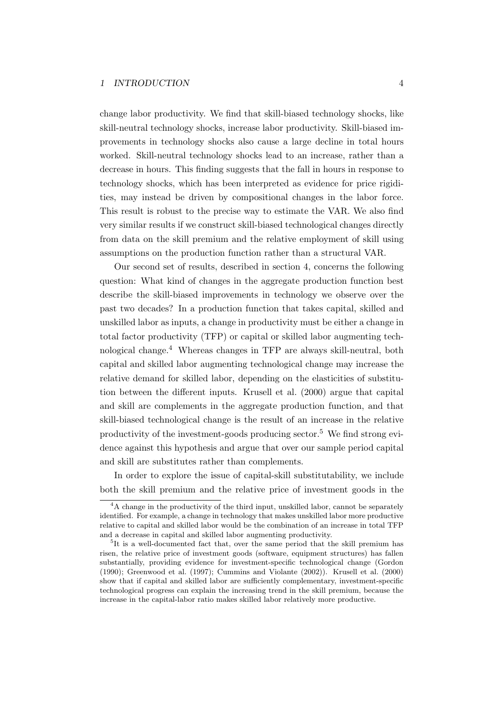change labor productivity. We find that skill-biased technology shocks, like skill-neutral technology shocks, increase labor productivity. Skill-biased improvements in technology shocks also cause a large decline in total hours worked. Skill-neutral technology shocks lead to an increase, rather than a decrease in hours. This finding suggests that the fall in hours in response to technology shocks, which has been interpreted as evidence for price rigidities, may instead be driven by compositional changes in the labor force. This result is robust to the precise way to estimate the VAR. We also find very similar results if we construct skill-biased technological changes directly from data on the skill premium and the relative employment of skill using assumptions on the production function rather than a structural VAR.

Our second set of results, described in section 4, concerns the following question: What kind of changes in the aggregate production function best describe the skill-biased improvements in technology we observe over the past two decades? In a production function that takes capital, skilled and unskilled labor as inputs, a change in productivity must be either a change in total factor productivity (TFP) or capital or skilled labor augmenting technological change.<sup>4</sup> Whereas changes in TFP are always skill-neutral, both capital and skilled labor augmenting technological change may increase the relative demand for skilled labor, depending on the elasticities of substitution between the different inputs. Krusell et al. (2000) argue that capital and skill are complements in the aggregate production function, and that skill-biased technological change is the result of an increase in the relative productivity of the investment-goods producing sector.<sup>5</sup> We find strong evidence against this hypothesis and argue that over our sample period capital and skill are substitutes rather than complements.

In order to explore the issue of capital-skill substitutability, we include both the skill premium and the relative price of investment goods in the

<sup>&</sup>lt;sup>4</sup>A change in the productivity of the third input, unskilled labor, cannot be separately identified. For example, a change in technology that makes unskilled labor more productive relative to capital and skilled labor would be the combination of an increase in total TFP and a decrease in capital and skilled labor augmenting productivity.

<sup>&</sup>lt;sup>5</sup>It is a well-documented fact that, over the same period that the skill premium has risen, the relative price of investment goods (software, equipment structures) has fallen substantially, providing evidence for investment-specific technological change (Gordon (1990); Greenwood et al. (1997); Cummins and Violante (2002)). Krusell et al. (2000) show that if capital and skilled labor are sufficiently complementary, investment-specific technological progress can explain the increasing trend in the skill premium, because the increase in the capital-labor ratio makes skilled labor relatively more productive.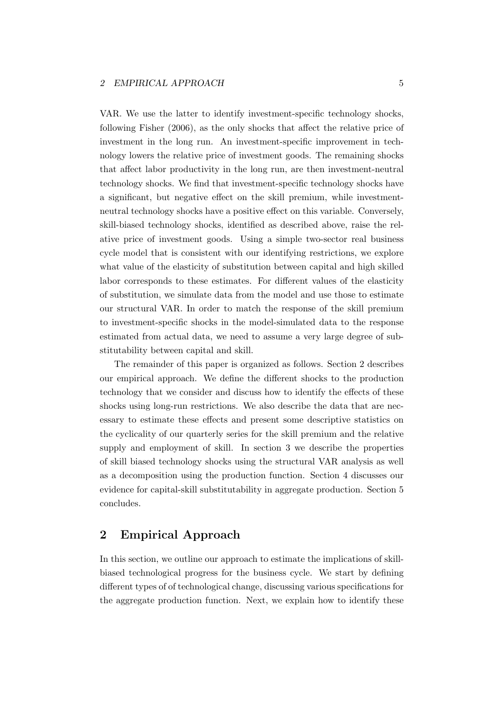VAR. We use the latter to identify investment-specific technology shocks, following Fisher (2006), as the only shocks that affect the relative price of investment in the long run. An investment-specific improvement in technology lowers the relative price of investment goods. The remaining shocks that affect labor productivity in the long run, are then investment-neutral technology shocks. We find that investment-specific technology shocks have a significant, but negative effect on the skill premium, while investmentneutral technology shocks have a positive effect on this variable. Conversely, skill-biased technology shocks, identified as described above, raise the relative price of investment goods. Using a simple two-sector real business cycle model that is consistent with our identifying restrictions, we explore what value of the elasticity of substitution between capital and high skilled labor corresponds to these estimates. For different values of the elasticity of substitution, we simulate data from the model and use those to estimate our structural VAR. In order to match the response of the skill premium to investment-specific shocks in the model-simulated data to the response estimated from actual data, we need to assume a very large degree of substitutability between capital and skill.

The remainder of this paper is organized as follows. Section 2 describes our empirical approach. We define the different shocks to the production technology that we consider and discuss how to identify the effects of these shocks using long-run restrictions. We also describe the data that are necessary to estimate these effects and present some descriptive statistics on the cyclicality of our quarterly series for the skill premium and the relative supply and employment of skill. In section 3 we describe the properties of skill biased technology shocks using the structural VAR analysis as well as a decomposition using the production function. Section 4 discusses our evidence for capital-skill substitutability in aggregate production. Section 5 concludes.

## 2 Empirical Approach

In this section, we outline our approach to estimate the implications of skillbiased technological progress for the business cycle. We start by defining different types of of technological change, discussing various specifications for the aggregate production function. Next, we explain how to identify these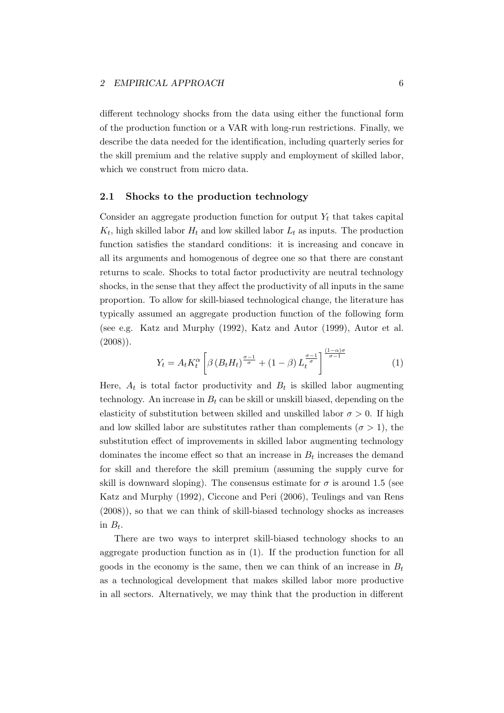different technology shocks from the data using either the functional form of the production function or a VAR with long-run restrictions. Finally, we describe the data needed for the identification, including quarterly series for the skill premium and the relative supply and employment of skilled labor, which we construct from micro data.

#### 2.1 Shocks to the production technology

Consider an aggregate production function for output  $Y_t$  that takes capital  $K_t$ , high skilled labor  $H_t$  and low skilled labor  $L_t$  as inputs. The production function satisfies the standard conditions: it is increasing and concave in all its arguments and homogenous of degree one so that there are constant returns to scale. Shocks to total factor productivity are neutral technology shocks, in the sense that they affect the productivity of all inputs in the same proportion. To allow for skill-biased technological change, the literature has typically assumed an aggregate production function of the following form (see e.g. Katz and Murphy (1992), Katz and Autor (1999), Autor et al.  $(2008)$ .

$$
Y_t = A_t K_t^{\alpha} \left[ \beta \left( B_t H_t \right)^{\frac{\sigma - 1}{\sigma}} + (1 - \beta) L_t^{\frac{\sigma - 1}{\sigma}} \right]^{\frac{(1 - \alpha)\sigma}{\sigma - 1}} \tag{1}
$$

Here,  $A_t$  is total factor productivity and  $B_t$  is skilled labor augmenting technology. An increase in  $B_t$  can be skill or unskill biased, depending on the elasticity of substitution between skilled and unskilled labor  $\sigma > 0$ . If high and low skilled labor are substitutes rather than complements ( $\sigma > 1$ ), the substitution effect of improvements in skilled labor augmenting technology dominates the income effect so that an increase in  $B_t$  increases the demand for skill and therefore the skill premium (assuming the supply curve for skill is downward sloping). The consensus estimate for  $\sigma$  is around 1.5 (see Katz and Murphy (1992), Ciccone and Peri (2006), Teulings and van Rens (2008)), so that we can think of skill-biased technology shocks as increases in  $B_t$ .

There are two ways to interpret skill-biased technology shocks to an aggregate production function as in (1). If the production function for all goods in the economy is the same, then we can think of an increase in  $B_t$ as a technological development that makes skilled labor more productive in all sectors. Alternatively, we may think that the production in different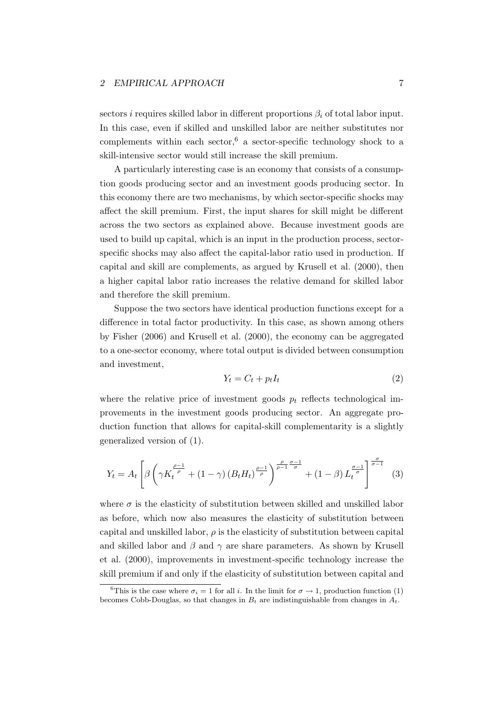sectors i requires skilled labor in different proportions  $\beta_i$  of total labor input. In this case, even if skilled and unskilled labor are neither substitutes nor complements within each sector,  $6$  a sector-specific technology shock to a skill-intensive sector would still increase the skill premium.

A particularly interesting case is an economy that consists of a consumption goods producing sector and an investment goods producing sector. In this economy there are two mechanisms, by which sector-specific shocks may affect the skill premium. First, the input shares for skill might be different across the two sectors as explained above. Because investment goods are used to build up capital, which is an input in the production process, sectorspecific shocks may also affect the capital-labor ratio used in production. If capital and skill are complements, as argued by Krusell et al. (2000), then a higher capital labor ratio increases the relative demand for skilled labor and therefore the skill premium.

Suppose the two sectors have identical production functions except for a difference in total factor productivity. In this case, as shown among others by Fisher (2006) and Krusell et al. (2000), the economy can be aggregated to a one-sector economy, where total output is divided between consumption and investment,

$$
Y_t = C_t + p_t I_t \tag{2}
$$

where the relative price of investment goods  $p_t$  reflects technological improvements in the investment goods producing sector. An aggregate production function that allows for capital-skill complementarity is a slightly generalized version of (1).

$$
Y_t = A_t \left[ \beta \left( \gamma K_t^{\frac{\rho - 1}{\rho}} + (1 - \gamma) \left( B_t H_t \right)^{\frac{\rho - 1}{\rho}} \right)^{\frac{\rho}{\rho - 1} \frac{\sigma - 1}{\sigma}} + (1 - \beta) L_t^{\frac{\sigma - 1}{\sigma}} \right]^{\frac{\sigma}{\sigma - 1}} \tag{3}
$$

where  $\sigma$  is the elasticity of substitution between skilled and unskilled labor as before, which now also measures the elasticity of substitution between capital and unskilled labor,  $\rho$  is the elasticity of substitution between capital and skilled labor and  $\beta$  and  $\gamma$  are share parameters. As shown by Krusell et al. (2000), improvements in investment-specific technology increase the skill premium if and only if the elasticity of substitution between capital and

<sup>&</sup>lt;sup>6</sup>This is the case where  $\sigma_i = 1$  for all i. In the limit for  $\sigma \to 1$ , production function (1) becomes Cobb-Douglas, so that changes in  $B_t$  are indistinguishable from changes in  $A_t$ .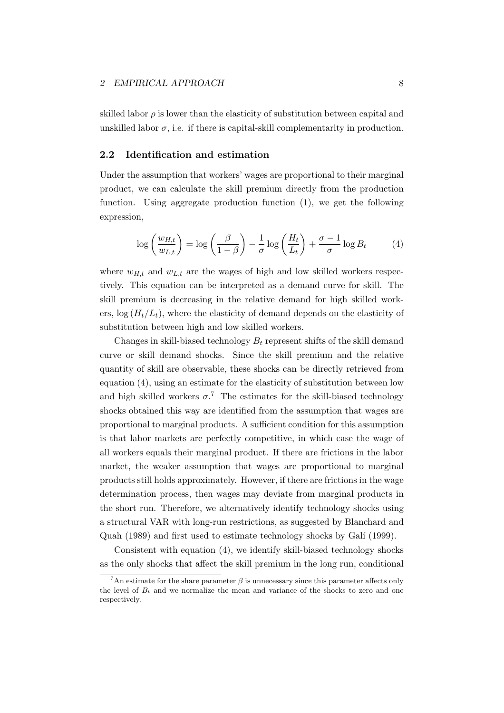skilled labor  $\rho$  is lower than the elasticity of substitution between capital and unskilled labor  $\sigma$ , i.e. if there is capital-skill complementarity in production.

#### 2.2 Identification and estimation

Under the assumption that workers' wages are proportional to their marginal product, we can calculate the skill premium directly from the production function. Using aggregate production function (1), we get the following expression,

$$
\log\left(\frac{w_{H,t}}{w_{L,t}}\right) = \log\left(\frac{\beta}{1-\beta}\right) - \frac{1}{\sigma}\log\left(\frac{H_t}{L_t}\right) + \frac{\sigma - 1}{\sigma}\log B_t \tag{4}
$$

where  $w_{H,t}$  and  $w_{L,t}$  are the wages of high and low skilled workers respectively. This equation can be interpreted as a demand curve for skill. The skill premium is decreasing in the relative demand for high skilled workers,  $\log(H_t/L_t)$ , where the elasticity of demand depends on the elasticity of substitution between high and low skilled workers.

Changes in skill-biased technology  $B_t$  represent shifts of the skill demand curve or skill demand shocks. Since the skill premium and the relative quantity of skill are observable, these shocks can be directly retrieved from equation (4), using an estimate for the elasticity of substitution between low and high skilled workers  $\sigma$ .<sup>7</sup> The estimates for the skill-biased technology shocks obtained this way are identified from the assumption that wages are proportional to marginal products. A sufficient condition for this assumption is that labor markets are perfectly competitive, in which case the wage of all workers equals their marginal product. If there are frictions in the labor market, the weaker assumption that wages are proportional to marginal products still holds approximately. However, if there are frictions in the wage determination process, then wages may deviate from marginal products in the short run. Therefore, we alternatively identify technology shocks using a structural VAR with long-run restrictions, as suggested by Blanchard and Quah (1989) and first used to estimate technology shocks by Galí (1999).

Consistent with equation (4), we identify skill-biased technology shocks as the only shocks that affect the skill premium in the long run, conditional

<sup>&</sup>lt;sup>7</sup>An estimate for the share parameter  $\beta$  is unnecessary since this parameter affects only the level of  $B_t$  and we normalize the mean and variance of the shocks to zero and one respectively.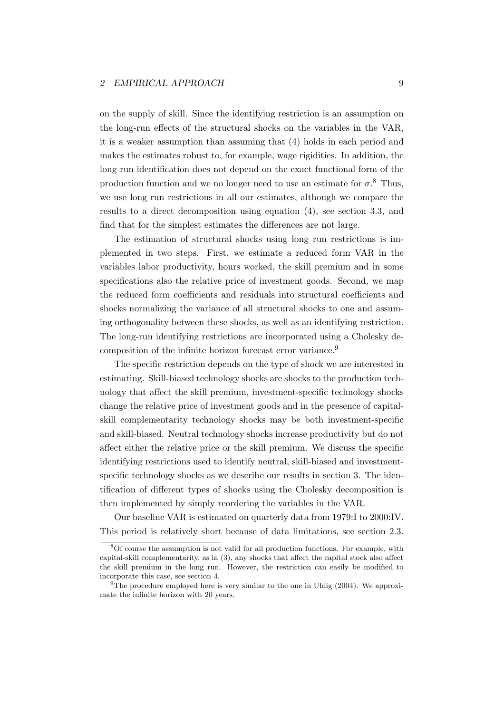on the supply of skill. Since the identifying restriction is an assumption on the long-run effects of the structural shocks on the variables in the VAR, it is a weaker assumption than assuming that (4) holds in each period and makes the estimates robust to, for example, wage rigidities. In addition, the long run identification does not depend on the exact functional form of the production function and we no longer need to use an estimate for  $\sigma$ .<sup>8</sup> Thus, we use long run restrictions in all our estimates, although we compare the results to a direct decomposition using equation (4), see section 3.3, and find that for the simplest estimates the differences are not large.

The estimation of structural shocks using long run restrictions is implemented in two steps. First, we estimate a reduced form VAR in the variables labor productivity, hours worked, the skill premium and in some specifications also the relative price of investment goods. Second, we map the reduced form coefficients and residuals into structural coefficients and shocks normalizing the variance of all structural shocks to one and assuming orthogonality between these shocks, as well as an identifying restriction. The long-run identifying restrictions are incorporated using a Cholesky decomposition of the infinite horizon forecast error variance.<sup>9</sup>

The specific restriction depends on the type of shock we are interested in estimating. Skill-biased technology shocks are shocks to the production technology that affect the skill premium, investment-specific technology shocks change the relative price of investment goods and in the presence of capitalskill complementarity technology shocks may be both investment-specific and skill-biased. Neutral technology shocks increase productivity but do not affect either the relative price or the skill premium. We discuss the specific identifying restrictions used to identify neutral, skill-biased and investmentspecific technology shocks as we describe our results in section 3. The identification of different types of shocks using the Cholesky decomposition is then implemented by simply reordering the variables in the VAR.

Our baseline VAR is estimated on quarterly data from 1979:I to 2000:IV. This period is relatively short because of data limitations, see section 2.3.

<sup>8</sup>Of course the assumption is not valid for all production functions. For example, with capital-skill complementarity, as in (3), any shocks that affect the capital stock also affect the skill premium in the long run. However, the restriction can easily be modified to incorporate this case, see section 4.

<sup>&</sup>lt;sup>9</sup>The procedure employed here is very similar to the one in Uhlig  $(2004)$ . We approximate the infinite horizon with 20 years.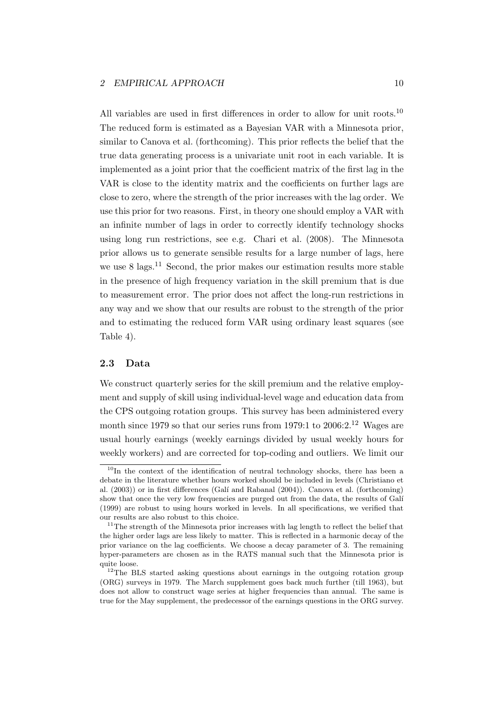All variables are used in first differences in order to allow for unit roots.<sup>10</sup> The reduced form is estimated as a Bayesian VAR with a Minnesota prior, similar to Canova et al. (forthcoming). This prior reflects the belief that the true data generating process is a univariate unit root in each variable. It is implemented as a joint prior that the coefficient matrix of the first lag in the VAR is close to the identity matrix and the coefficients on further lags are close to zero, where the strength of the prior increases with the lag order. We use this prior for two reasons. First, in theory one should employ a VAR with an infinite number of lags in order to correctly identify technology shocks using long run restrictions, see e.g. Chari et al. (2008). The Minnesota prior allows us to generate sensible results for a large number of lags, here we use  $8 \text{ lags}.$ <sup>11</sup> Second, the prior makes our estimation results more stable in the presence of high frequency variation in the skill premium that is due to measurement error. The prior does not affect the long-run restrictions in any way and we show that our results are robust to the strength of the prior and to estimating the reduced form VAR using ordinary least squares (see Table 4).

#### 2.3 Data

We construct quarterly series for the skill premium and the relative employment and supply of skill using individual-level wage and education data from the CPS outgoing rotation groups. This survey has been administered every month since 1979 so that our series runs from 1979:1 to 2006:2.<sup>12</sup> Wages are usual hourly earnings (weekly earnings divided by usual weekly hours for weekly workers) and are corrected for top-coding and outliers. We limit our

 $10$ In the context of the identification of neutral technology shocks, there has been a debate in the literature whether hours worked should be included in levels (Christiano et al. (2003)) or in first differences (Galí and Rabanal (2004)). Canova et al. (forthcoming) show that once the very low frequencies are purged out from the data, the results of Galí (1999) are robust to using hours worked in levels. In all specifications, we verified that our results are also robust to this choice.

 $11$ The strength of the Minnesota prior increases with lag length to reflect the belief that the higher order lags are less likely to matter. This is reflected in a harmonic decay of the prior variance on the lag coefficients. We choose a decay parameter of 3. The remaining hyper-parameters are chosen as in the RATS manual such that the Minnesota prior is quite loose.

<sup>&</sup>lt;sup>12</sup>The BLS started asking questions about earnings in the outgoing rotation group (ORG) surveys in 1979. The March supplement goes back much further (till 1963), but does not allow to construct wage series at higher frequencies than annual. The same is true for the May supplement, the predecessor of the earnings questions in the ORG survey.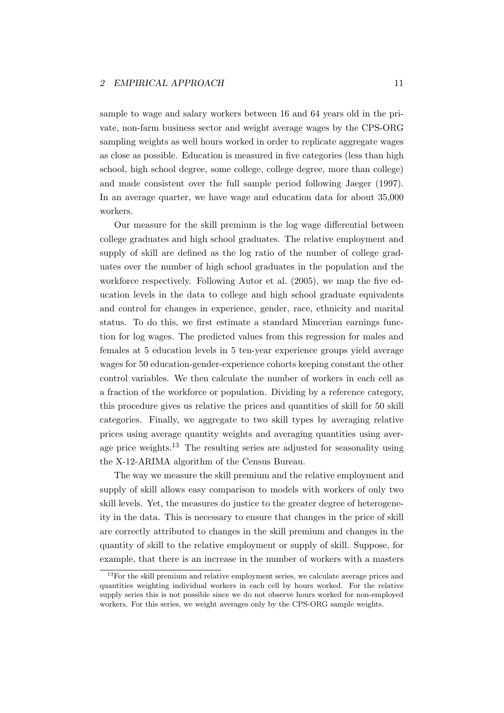sample to wage and salary workers between 16 and 64 years old in the private, non-farm business sector and weight average wages by the CPS-ORG sampling weights as well hours worked in order to replicate aggregate wages as close as possible. Education is measured in five categories (less than high school, high school degree, some college, college degree, more than college) and made consistent over the full sample period following Jaeger (1997). In an average quarter, we have wage and education data for about 35,000 workers.

Our measure for the skill premium is the log wage differential between college graduates and high school graduates. The relative employment and supply of skill are defined as the log ratio of the number of college graduates over the number of high school graduates in the population and the workforce respectively. Following Autor et al. (2005), we map the five education levels in the data to college and high school graduate equivalents and control for changes in experience, gender, race, ethnicity and marital status. To do this, we first estimate a standard Mincerian earnings function for log wages. The predicted values from this regression for males and females at 5 education levels in 5 ten-year experience groups yield average wages for 50 education-gender-experience cohorts keeping constant the other control variables. We then calculate the number of workers in each cell as a fraction of the workforce or population. Dividing by a reference category, this procedure gives us relative the prices and quantities of skill for 50 skill categories. Finally, we aggregate to two skill types by averaging relative prices using average quantity weights and averaging quantities using average price weights.<sup>13</sup> The resulting series are adjusted for seasonality using the X-12-ARIMA algorithm of the Census Bureau.

The way we measure the skill premium and the relative employment and supply of skill allows easy comparison to models with workers of only two skill levels. Yet, the measures do justice to the greater degree of heterogeneity in the data. This is necessary to ensure that changes in the price of skill are correctly attributed to changes in the skill premium and changes in the quantity of skill to the relative employment or supply of skill. Suppose, for example, that there is an increase in the number of workers with a masters

 $13$  For the skill premium and relative employment series, we calculate average prices and quantities weighting individual workers in each cell by hours worked. For the relative supply series this is not possible since we do not observe hours worked for non-employed workers. For this series, we weight averages only by the CPS-ORG sample weights.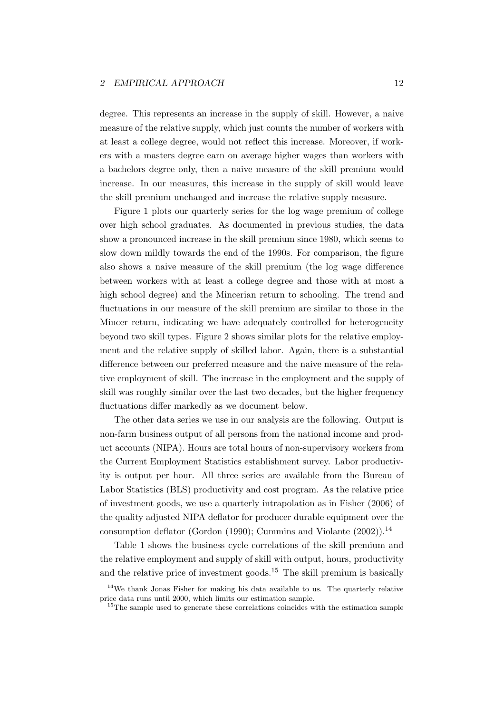degree. This represents an increase in the supply of skill. However, a naive measure of the relative supply, which just counts the number of workers with at least a college degree, would not reflect this increase. Moreover, if workers with a masters degree earn on average higher wages than workers with a bachelors degree only, then a naive measure of the skill premium would increase. In our measures, this increase in the supply of skill would leave the skill premium unchanged and increase the relative supply measure.

Figure 1 plots our quarterly series for the log wage premium of college over high school graduates. As documented in previous studies, the data show a pronounced increase in the skill premium since 1980, which seems to slow down mildly towards the end of the 1990s. For comparison, the figure also shows a naive measure of the skill premium (the log wage difference between workers with at least a college degree and those with at most a high school degree) and the Mincerian return to schooling. The trend and fluctuations in our measure of the skill premium are similar to those in the Mincer return, indicating we have adequately controlled for heterogeneity beyond two skill types. Figure 2 shows similar plots for the relative employment and the relative supply of skilled labor. Again, there is a substantial difference between our preferred measure and the naive measure of the relative employment of skill. The increase in the employment and the supply of skill was roughly similar over the last two decades, but the higher frequency fluctuations differ markedly as we document below.

The other data series we use in our analysis are the following. Output is non-farm business output of all persons from the national income and product accounts (NIPA). Hours are total hours of non-supervisory workers from the Current Employment Statistics establishment survey. Labor productivity is output per hour. All three series are available from the Bureau of Labor Statistics (BLS) productivity and cost program. As the relative price of investment goods, we use a quarterly intrapolation as in Fisher (2006) of the quality adjusted NIPA deflator for producer durable equipment over the consumption deflator (Gordon (1990); Cummins and Violante  $(2002)$ ).<sup>14</sup>

Table 1 shows the business cycle correlations of the skill premium and the relative employment and supply of skill with output, hours, productivity and the relative price of investment goods.<sup>15</sup> The skill premium is basically

<sup>&</sup>lt;sup>14</sup>We thank Jonas Fisher for making his data available to us. The quarterly relative price data runs until 2000, which limits our estimation sample.

<sup>&</sup>lt;sup>15</sup>The sample used to generate these correlations coincides with the estimation sample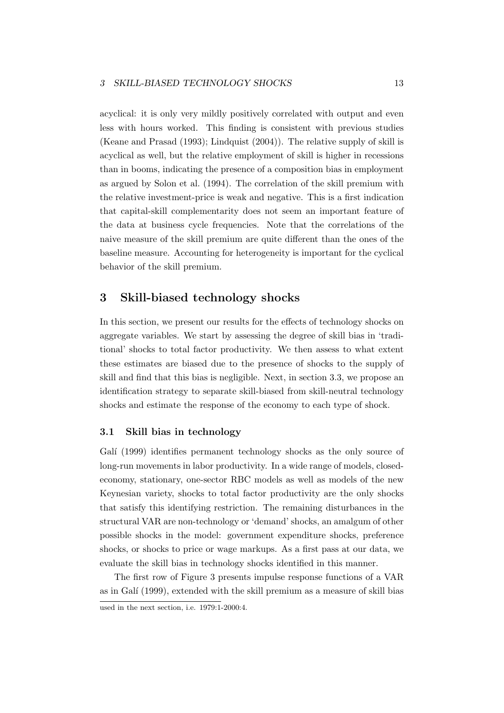acyclical: it is only very mildly positively correlated with output and even less with hours worked. This finding is consistent with previous studies (Keane and Prasad (1993); Lindquist (2004)). The relative supply of skill is acyclical as well, but the relative employment of skill is higher in recessions than in booms, indicating the presence of a composition bias in employment as argued by Solon et al. (1994). The correlation of the skill premium with the relative investment-price is weak and negative. This is a first indication that capital-skill complementarity does not seem an important feature of the data at business cycle frequencies. Note that the correlations of the naive measure of the skill premium are quite different than the ones of the baseline measure. Accounting for heterogeneity is important for the cyclical behavior of the skill premium.

### 3 Skill-biased technology shocks

In this section, we present our results for the effects of technology shocks on aggregate variables. We start by assessing the degree of skill bias in 'traditional' shocks to total factor productivity. We then assess to what extent these estimates are biased due to the presence of shocks to the supply of skill and find that this bias is negligible. Next, in section 3.3, we propose an identification strategy to separate skill-biased from skill-neutral technology shocks and estimate the response of the economy to each type of shock.

### 3.1 Skill bias in technology

Galí (1999) identifies permanent technology shocks as the only source of long-run movements in labor productivity. In a wide range of models, closedeconomy, stationary, one-sector RBC models as well as models of the new Keynesian variety, shocks to total factor productivity are the only shocks that satisfy this identifying restriction. The remaining disturbances in the structural VAR are non-technology or 'demand' shocks, an amalgum of other possible shocks in the model: government expenditure shocks, preference shocks, or shocks to price or wage markups. As a first pass at our data, we evaluate the skill bias in technology shocks identified in this manner.

The first row of Figure 3 presents impulse response functions of a VAR as in Galí (1999), extended with the skill premium as a measure of skill bias

used in the next section, i.e. 1979:1-2000:4.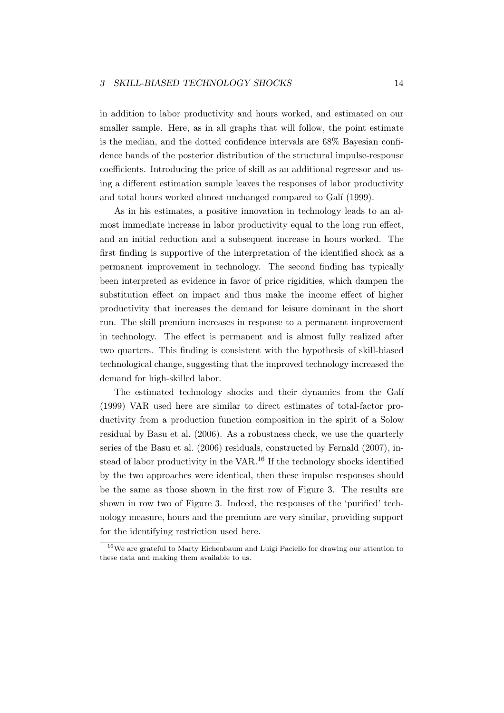in addition to labor productivity and hours worked, and estimated on our smaller sample. Here, as in all graphs that will follow, the point estimate is the median, and the dotted confidence intervals are 68% Bayesian confidence bands of the posterior distribution of the structural impulse-response coefficients. Introducing the price of skill as an additional regressor and using a different estimation sample leaves the responses of labor productivity and total hours worked almost unchanged compared to Galí (1999).

As in his estimates, a positive innovation in technology leads to an almost immediate increase in labor productivity equal to the long run effect, and an initial reduction and a subsequent increase in hours worked. The first finding is supportive of the interpretation of the identified shock as a permanent improvement in technology. The second finding has typically been interpreted as evidence in favor of price rigidities, which dampen the substitution effect on impact and thus make the income effect of higher productivity that increases the demand for leisure dominant in the short run. The skill premium increases in response to a permanent improvement in technology. The effect is permanent and is almost fully realized after two quarters. This finding is consistent with the hypothesis of skill-biased technological change, suggesting that the improved technology increased the demand for high-skilled labor.

The estimated technology shocks and their dynamics from the Galí (1999) VAR used here are similar to direct estimates of total-factor productivity from a production function composition in the spirit of a Solow residual by Basu et al. (2006). As a robustness check, we use the quarterly series of the Basu et al. (2006) residuals, constructed by Fernald (2007), instead of labor productivity in the VAR.<sup>16</sup> If the technology shocks identified by the two approaches were identical, then these impulse responses should be the same as those shown in the first row of Figure 3. The results are shown in row two of Figure 3. Indeed, the responses of the 'purified' technology measure, hours and the premium are very similar, providing support for the identifying restriction used here.

<sup>16</sup>We are grateful to Marty Eichenbaum and Luigi Paciello for drawing our attention to these data and making them available to us.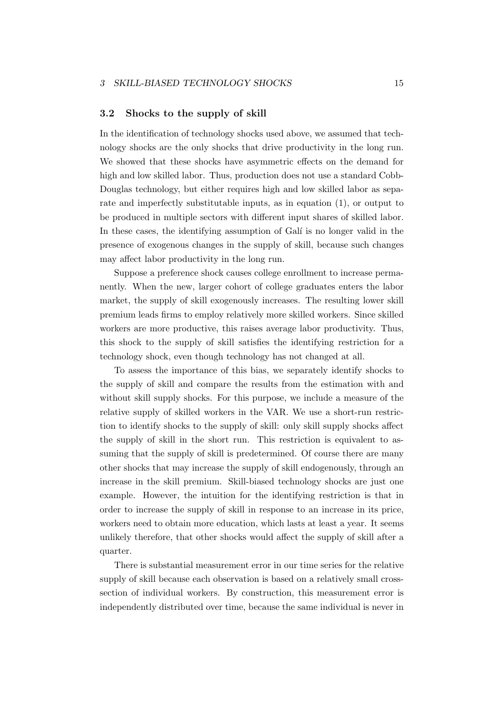#### 3.2 Shocks to the supply of skill

In the identification of technology shocks used above, we assumed that technology shocks are the only shocks that drive productivity in the long run. We showed that these shocks have asymmetric effects on the demand for high and low skilled labor. Thus, production does not use a standard Cobb-Douglas technology, but either requires high and low skilled labor as separate and imperfectly substitutable inputs, as in equation (1), or output to be produced in multiple sectors with different input shares of skilled labor. In these cases, the identifying assumption of Galí is no longer valid in the presence of exogenous changes in the supply of skill, because such changes may affect labor productivity in the long run.

Suppose a preference shock causes college enrollment to increase permanently. When the new, larger cohort of college graduates enters the labor market, the supply of skill exogenously increases. The resulting lower skill premium leads firms to employ relatively more skilled workers. Since skilled workers are more productive, this raises average labor productivity. Thus, this shock to the supply of skill satisfies the identifying restriction for a technology shock, even though technology has not changed at all.

To assess the importance of this bias, we separately identify shocks to the supply of skill and compare the results from the estimation with and without skill supply shocks. For this purpose, we include a measure of the relative supply of skilled workers in the VAR. We use a short-run restriction to identify shocks to the supply of skill: only skill supply shocks affect the supply of skill in the short run. This restriction is equivalent to assuming that the supply of skill is predetermined. Of course there are many other shocks that may increase the supply of skill endogenously, through an increase in the skill premium. Skill-biased technology shocks are just one example. However, the intuition for the identifying restriction is that in order to increase the supply of skill in response to an increase in its price, workers need to obtain more education, which lasts at least a year. It seems unlikely therefore, that other shocks would affect the supply of skill after a quarter.

There is substantial measurement error in our time series for the relative supply of skill because each observation is based on a relatively small crosssection of individual workers. By construction, this measurement error is independently distributed over time, because the same individual is never in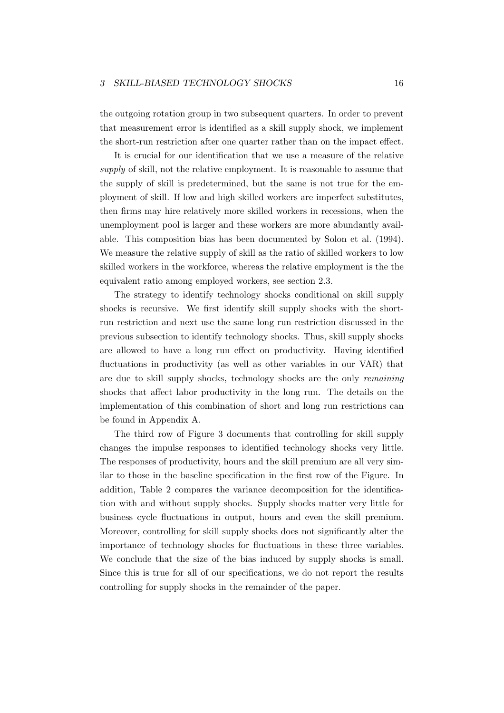the outgoing rotation group in two subsequent quarters. In order to prevent that measurement error is identified as a skill supply shock, we implement the short-run restriction after one quarter rather than on the impact effect.

It is crucial for our identification that we use a measure of the relative supply of skill, not the relative employment. It is reasonable to assume that the supply of skill is predetermined, but the same is not true for the employment of skill. If low and high skilled workers are imperfect substitutes, then firms may hire relatively more skilled workers in recessions, when the unemployment pool is larger and these workers are more abundantly available. This composition bias has been documented by Solon et al. (1994). We measure the relative supply of skill as the ratio of skilled workers to low skilled workers in the workforce, whereas the relative employment is the the equivalent ratio among employed workers, see section 2.3.

The strategy to identify technology shocks conditional on skill supply shocks is recursive. We first identify skill supply shocks with the shortrun restriction and next use the same long run restriction discussed in the previous subsection to identify technology shocks. Thus, skill supply shocks are allowed to have a long run effect on productivity. Having identified fluctuations in productivity (as well as other variables in our VAR) that are due to skill supply shocks, technology shocks are the only remaining shocks that affect labor productivity in the long run. The details on the implementation of this combination of short and long run restrictions can be found in Appendix A.

The third row of Figure 3 documents that controlling for skill supply changes the impulse responses to identified technology shocks very little. The responses of productivity, hours and the skill premium are all very similar to those in the baseline specification in the first row of the Figure. In addition, Table 2 compares the variance decomposition for the identification with and without supply shocks. Supply shocks matter very little for business cycle fluctuations in output, hours and even the skill premium. Moreover, controlling for skill supply shocks does not significantly alter the importance of technology shocks for fluctuations in these three variables. We conclude that the size of the bias induced by supply shocks is small. Since this is true for all of our specifications, we do not report the results controlling for supply shocks in the remainder of the paper.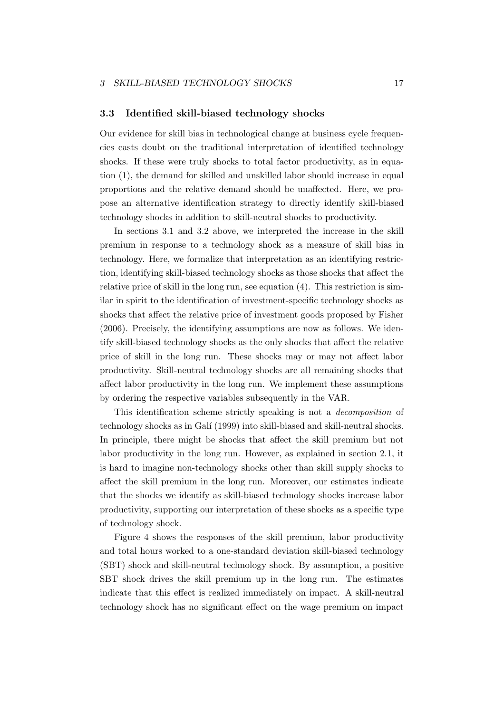#### 3.3 Identified skill-biased technology shocks

Our evidence for skill bias in technological change at business cycle frequencies casts doubt on the traditional interpretation of identified technology shocks. If these were truly shocks to total factor productivity, as in equation (1), the demand for skilled and unskilled labor should increase in equal proportions and the relative demand should be unaffected. Here, we propose an alternative identification strategy to directly identify skill-biased technology shocks in addition to skill-neutral shocks to productivity.

In sections 3.1 and 3.2 above, we interpreted the increase in the skill premium in response to a technology shock as a measure of skill bias in technology. Here, we formalize that interpretation as an identifying restriction, identifying skill-biased technology shocks as those shocks that affect the relative price of skill in the long run, see equation (4). This restriction is similar in spirit to the identification of investment-specific technology shocks as shocks that affect the relative price of investment goods proposed by Fisher (2006). Precisely, the identifying assumptions are now as follows. We identify skill-biased technology shocks as the only shocks that affect the relative price of skill in the long run. These shocks may or may not affect labor productivity. Skill-neutral technology shocks are all remaining shocks that affect labor productivity in the long run. We implement these assumptions by ordering the respective variables subsequently in the VAR.

This identification scheme strictly speaking is not a decomposition of technology shocks as in Galí (1999) into skill-biased and skill-neutral shocks. In principle, there might be shocks that affect the skill premium but not labor productivity in the long run. However, as explained in section 2.1, it is hard to imagine non-technology shocks other than skill supply shocks to affect the skill premium in the long run. Moreover, our estimates indicate that the shocks we identify as skill-biased technology shocks increase labor productivity, supporting our interpretation of these shocks as a specific type of technology shock.

Figure 4 shows the responses of the skill premium, labor productivity and total hours worked to a one-standard deviation skill-biased technology (SBT) shock and skill-neutral technology shock. By assumption, a positive SBT shock drives the skill premium up in the long run. The estimates indicate that this effect is realized immediately on impact. A skill-neutral technology shock has no significant effect on the wage premium on impact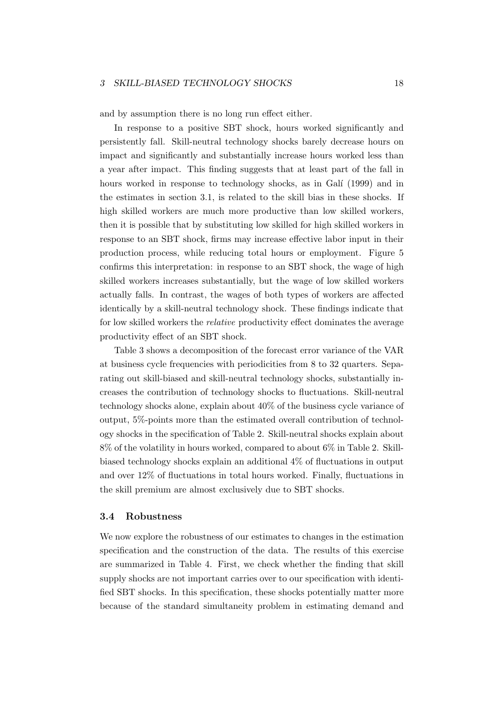and by assumption there is no long run effect either.

In response to a positive SBT shock, hours worked significantly and persistently fall. Skill-neutral technology shocks barely decrease hours on impact and significantly and substantially increase hours worked less than a year after impact. This finding suggests that at least part of the fall in hours worked in response to technology shocks, as in Galí (1999) and in the estimates in section 3.1, is related to the skill bias in these shocks. If high skilled workers are much more productive than low skilled workers, then it is possible that by substituting low skilled for high skilled workers in response to an SBT shock, firms may increase effective labor input in their production process, while reducing total hours or employment. Figure 5 confirms this interpretation: in response to an SBT shock, the wage of high skilled workers increases substantially, but the wage of low skilled workers actually falls. In contrast, the wages of both types of workers are affected identically by a skill-neutral technology shock. These findings indicate that for low skilled workers the relative productivity effect dominates the average productivity effect of an SBT shock.

Table 3 shows a decomposition of the forecast error variance of the VAR at business cycle frequencies with periodicities from 8 to 32 quarters. Separating out skill-biased and skill-neutral technology shocks, substantially increases the contribution of technology shocks to fluctuations. Skill-neutral technology shocks alone, explain about 40% of the business cycle variance of output, 5%-points more than the estimated overall contribution of technology shocks in the specification of Table 2. Skill-neutral shocks explain about 8% of the volatility in hours worked, compared to about 6% in Table 2. Skillbiased technology shocks explain an additional 4% of fluctuations in output and over 12% of fluctuations in total hours worked. Finally, fluctuations in the skill premium are almost exclusively due to SBT shocks.

#### 3.4 Robustness

We now explore the robustness of our estimates to changes in the estimation specification and the construction of the data. The results of this exercise are summarized in Table 4. First, we check whether the finding that skill supply shocks are not important carries over to our specification with identified SBT shocks. In this specification, these shocks potentially matter more because of the standard simultaneity problem in estimating demand and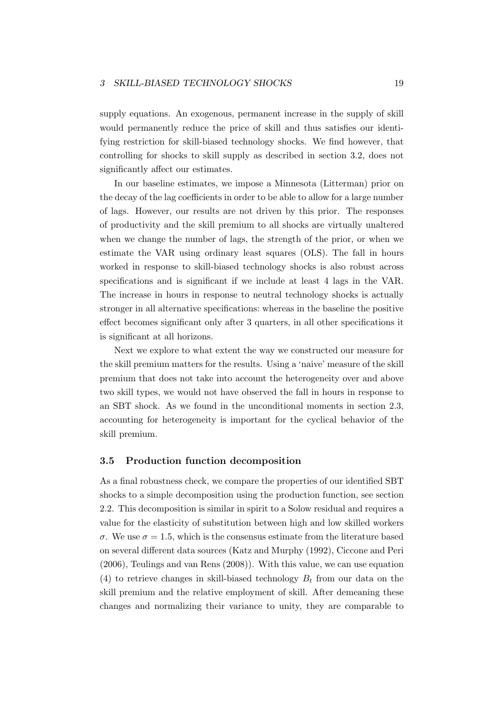supply equations. An exogenous, permanent increase in the supply of skill would permanently reduce the price of skill and thus satisfies our identifying restriction for skill-biased technology shocks. We find however, that controlling for shocks to skill supply as described in section 3.2, does not significantly affect our estimates.

In our baseline estimates, we impose a Minnesota (Litterman) prior on the decay of the lag coefficients in order to be able to allow for a large number of lags. However, our results are not driven by this prior. The responses of productivity and the skill premium to all shocks are virtually unaltered when we change the number of lags, the strength of the prior, or when we estimate the VAR using ordinary least squares (OLS). The fall in hours worked in response to skill-biased technology shocks is also robust across specifications and is significant if we include at least 4 lags in the VAR. The increase in hours in response to neutral technology shocks is actually stronger in all alternative specifications: whereas in the baseline the positive effect becomes significant only after 3 quarters, in all other specifications it is significant at all horizons.

Next we explore to what extent the way we constructed our measure for the skill premium matters for the results. Using a 'naive' measure of the skill premium that does not take into account the heterogeneity over and above two skill types, we would not have observed the fall in hours in response to an SBT shock. As we found in the unconditional moments in section 2.3, accounting for heterogeneity is important for the cyclical behavior of the skill premium.

#### 3.5 Production function decomposition

As a final robustness check, we compare the properties of our identified SBT shocks to a simple decomposition using the production function, see section 2.2. This decomposition is similar in spirit to a Solow residual and requires a value for the elasticity of substitution between high and low skilled workers  $\sigma$ . We use  $\sigma = 1.5$ , which is the consensus estimate from the literature based on several different data sources (Katz and Murphy (1992), Ciccone and Peri (2006), Teulings and van Rens (2008)). With this value, we can use equation (4) to retrieve changes in skill-biased technology  $B_t$  from our data on the skill premium and the relative employment of skill. After demeaning these changes and normalizing their variance to unity, they are comparable to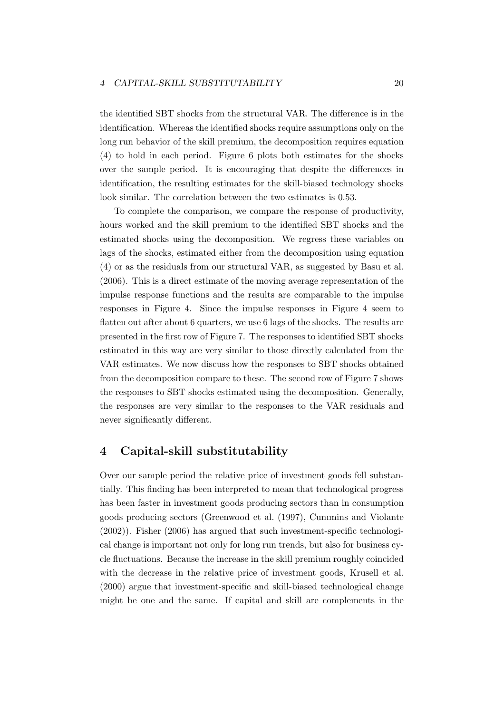the identified SBT shocks from the structural VAR. The difference is in the identification. Whereas the identified shocks require assumptions only on the long run behavior of the skill premium, the decomposition requires equation (4) to hold in each period. Figure 6 plots both estimates for the shocks over the sample period. It is encouraging that despite the differences in identification, the resulting estimates for the skill-biased technology shocks look similar. The correlation between the two estimates is 0.53.

To complete the comparison, we compare the response of productivity, hours worked and the skill premium to the identified SBT shocks and the estimated shocks using the decomposition. We regress these variables on lags of the shocks, estimated either from the decomposition using equation (4) or as the residuals from our structural VAR, as suggested by Basu et al. (2006). This is a direct estimate of the moving average representation of the impulse response functions and the results are comparable to the impulse responses in Figure 4. Since the impulse responses in Figure 4 seem to flatten out after about 6 quarters, we use 6 lags of the shocks. The results are presented in the first row of Figure 7. The responses to identified SBT shocks estimated in this way are very similar to those directly calculated from the VAR estimates. We now discuss how the responses to SBT shocks obtained from the decomposition compare to these. The second row of Figure 7 shows the responses to SBT shocks estimated using the decomposition. Generally, the responses are very similar to the responses to the VAR residuals and never significantly different.

## 4 Capital-skill substitutability

Over our sample period the relative price of investment goods fell substantially. This finding has been interpreted to mean that technological progress has been faster in investment goods producing sectors than in consumption goods producing sectors (Greenwood et al. (1997), Cummins and Violante (2002)). Fisher (2006) has argued that such investment-specific technological change is important not only for long run trends, but also for business cycle fluctuations. Because the increase in the skill premium roughly coincided with the decrease in the relative price of investment goods, Krusell et al. (2000) argue that investment-specific and skill-biased technological change might be one and the same. If capital and skill are complements in the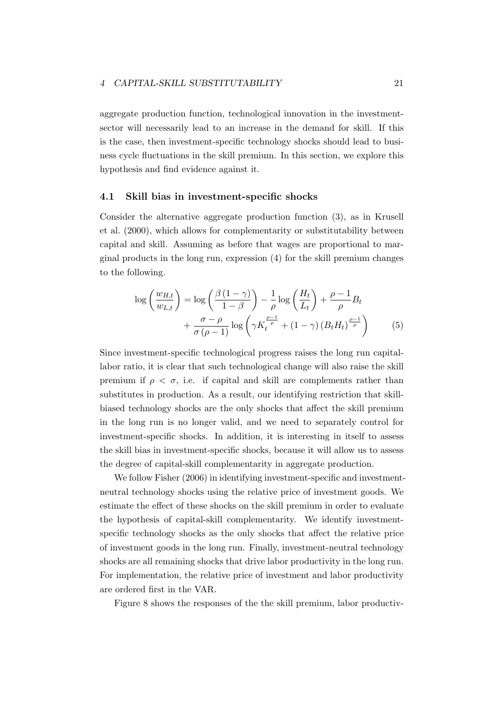aggregate production function, technological innovation in the investmentsector will necessarily lead to an increase in the demand for skill. If this is the case, then investment-specific technology shocks should lead to business cycle fluctuations in the skill premium. In this section, we explore this hypothesis and find evidence against it.

#### 4.1 Skill bias in investment-specific shocks

Consider the alternative aggregate production function (3), as in Krusell et al. (2000), which allows for complementarity or substitutability between capital and skill. Assuming as before that wages are proportional to marginal products in the long run, expression (4) for the skill premium changes to the following.

$$
\log\left(\frac{w_{H,t}}{w_{L,t}}\right) = \log\left(\frac{\beta(1-\gamma)}{1-\beta}\right) - \frac{1}{\rho}\log\left(\frac{H_t}{L_t}\right) + \frac{\rho-1}{\rho}B_t + \frac{\sigma-\rho}{\sigma(\rho-1)}\log\left(\gamma K_t^{\frac{\rho-1}{\rho}} + (1-\gamma)(B_t H_t)^{\frac{\rho-1}{\rho}}\right) \tag{5}
$$

Since investment-specific technological progress raises the long run capitallabor ratio, it is clear that such technological change will also raise the skill premium if  $\rho < \sigma$ , i.e. if capital and skill are complements rather than substitutes in production. As a result, our identifying restriction that skillbiased technology shocks are the only shocks that affect the skill premium in the long run is no longer valid, and we need to separately control for investment-specific shocks. In addition, it is interesting in itself to assess the skill bias in investment-specific shocks, because it will allow us to assess the degree of capital-skill complementarity in aggregate production.

We follow Fisher (2006) in identifying investment-specific and investmentneutral technology shocks using the relative price of investment goods. We estimate the effect of these shocks on the skill premium in order to evaluate the hypothesis of capital-skill complementarity. We identify investmentspecific technology shocks as the only shocks that affect the relative price of investment goods in the long run. Finally, investment-neutral technology shocks are all remaining shocks that drive labor productivity in the long run. For implementation, the relative price of investment and labor productivity are ordered first in the VAR.

Figure 8 shows the responses of the the skill premium, labor productiv-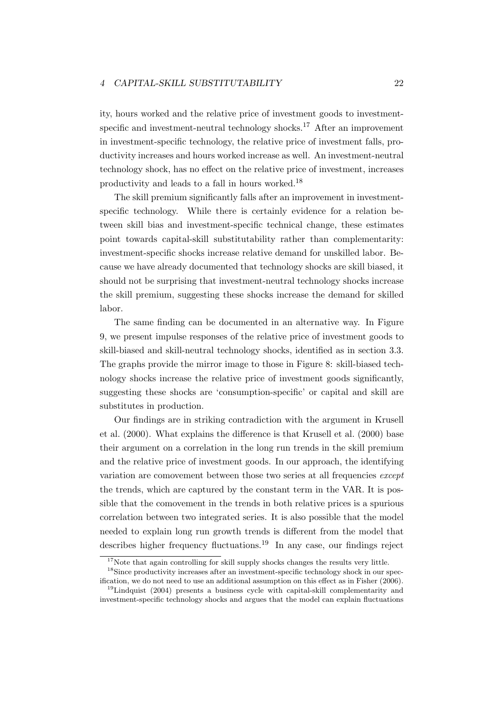ity, hours worked and the relative price of investment goods to investmentspecific and investment-neutral technology shocks.<sup>17</sup> After an improvement in investment-specific technology, the relative price of investment falls, productivity increases and hours worked increase as well. An investment-neutral technology shock, has no effect on the relative price of investment, increases productivity and leads to a fall in hours worked.<sup>18</sup>

The skill premium significantly falls after an improvement in investmentspecific technology. While there is certainly evidence for a relation between skill bias and investment-specific technical change, these estimates point towards capital-skill substitutability rather than complementarity: investment-specific shocks increase relative demand for unskilled labor. Because we have already documented that technology shocks are skill biased, it should not be surprising that investment-neutral technology shocks increase the skill premium, suggesting these shocks increase the demand for skilled labor.

The same finding can be documented in an alternative way. In Figure 9, we present impulse responses of the relative price of investment goods to skill-biased and skill-neutral technology shocks, identified as in section 3.3. The graphs provide the mirror image to those in Figure 8: skill-biased technology shocks increase the relative price of investment goods significantly, suggesting these shocks are 'consumption-specific' or capital and skill are substitutes in production.

Our findings are in striking contradiction with the argument in Krusell et al. (2000). What explains the difference is that Krusell et al. (2000) base their argument on a correlation in the long run trends in the skill premium and the relative price of investment goods. In our approach, the identifying variation are comovement between those two series at all frequencies except the trends, which are captured by the constant term in the VAR. It is possible that the comovement in the trends in both relative prices is a spurious correlation between two integrated series. It is also possible that the model needed to explain long run growth trends is different from the model that describes higher frequency fluctuations.<sup>19</sup> In any case, our findings reject

 $17$ Note that again controlling for skill supply shocks changes the results very little.

<sup>&</sup>lt;sup>18</sup>Since productivity increases after an investment-specific technology shock in our specification, we do not need to use an additional assumption on this effect as in Fisher (2006).

<sup>&</sup>lt;sup>19</sup>Lindquist (2004) presents a business cycle with capital-skill complementarity and investment-specific technology shocks and argues that the model can explain fluctuations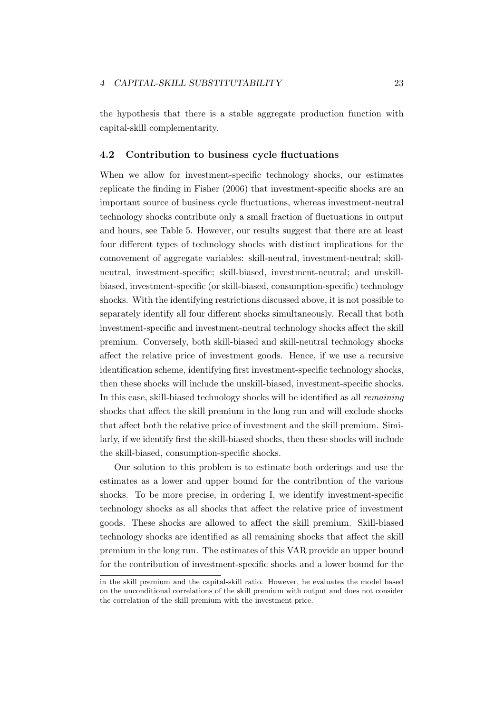the hypothesis that there is a stable aggregate production function with capital-skill complementarity.

#### 4.2 Contribution to business cycle fluctuations

When we allow for investment-specific technology shocks, our estimates replicate the finding in Fisher (2006) that investment-specific shocks are an important source of business cycle fluctuations, whereas investment-neutral technology shocks contribute only a small fraction of fluctuations in output and hours, see Table 5. However, our results suggest that there are at least four different types of technology shocks with distinct implications for the comovement of aggregate variables: skill-neutral, investment-neutral; skillneutral, investment-specific; skill-biased, investment-neutral; and unskillbiased, investment-specific (or skill-biased, consumption-specific) technology shocks. With the identifying restrictions discussed above, it is not possible to separately identify all four different shocks simultaneously. Recall that both investment-specific and investment-neutral technology shocks affect the skill premium. Conversely, both skill-biased and skill-neutral technology shocks affect the relative price of investment goods. Hence, if we use a recursive identification scheme, identifying first investment-specific technology shocks, then these shocks will include the unskill-biased, investment-specific shocks. In this case, skill-biased technology shocks will be identified as all remaining shocks that affect the skill premium in the long run and will exclude shocks that affect both the relative price of investment and the skill premium. Similarly, if we identify first the skill-biased shocks, then these shocks will include the skill-biased, consumption-specific shocks.

Our solution to this problem is to estimate both orderings and use the estimates as a lower and upper bound for the contribution of the various shocks. To be more precise, in ordering I, we identify investment-specific technology shocks as all shocks that affect the relative price of investment goods. These shocks are allowed to affect the skill premium. Skill-biased technology shocks are identified as all remaining shocks that affect the skill premium in the long run. The estimates of this VAR provide an upper bound for the contribution of investment-specific shocks and a lower bound for the

in the skill premium and the capital-skill ratio. However, he evaluates the model based on the unconditional correlations of the skill premium with output and does not consider the correlation of the skill premium with the investment price.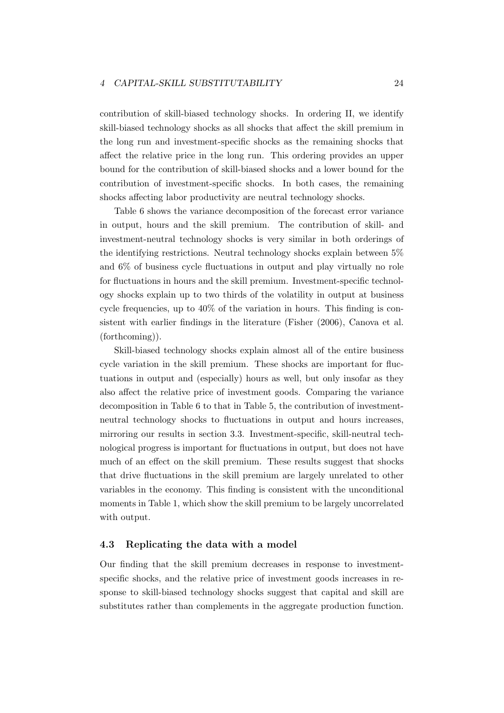contribution of skill-biased technology shocks. In ordering II, we identify skill-biased technology shocks as all shocks that affect the skill premium in the long run and investment-specific shocks as the remaining shocks that affect the relative price in the long run. This ordering provides an upper bound for the contribution of skill-biased shocks and a lower bound for the contribution of investment-specific shocks. In both cases, the remaining shocks affecting labor productivity are neutral technology shocks.

Table 6 shows the variance decomposition of the forecast error variance in output, hours and the skill premium. The contribution of skill- and investment-neutral technology shocks is very similar in both orderings of the identifying restrictions. Neutral technology shocks explain between 5% and 6% of business cycle fluctuations in output and play virtually no role for fluctuations in hours and the skill premium. Investment-specific technology shocks explain up to two thirds of the volatility in output at business cycle frequencies, up to 40% of the variation in hours. This finding is consistent with earlier findings in the literature (Fisher (2006), Canova et al. (forthcoming)).

Skill-biased technology shocks explain almost all of the entire business cycle variation in the skill premium. These shocks are important for fluctuations in output and (especially) hours as well, but only insofar as they also affect the relative price of investment goods. Comparing the variance decomposition in Table 6 to that in Table 5, the contribution of investmentneutral technology shocks to fluctuations in output and hours increases, mirroring our results in section 3.3. Investment-specific, skill-neutral technological progress is important for fluctuations in output, but does not have much of an effect on the skill premium. These results suggest that shocks that drive fluctuations in the skill premium are largely unrelated to other variables in the economy. This finding is consistent with the unconditional moments in Table 1, which show the skill premium to be largely uncorrelated with output.

#### 4.3 Replicating the data with a model

Our finding that the skill premium decreases in response to investmentspecific shocks, and the relative price of investment goods increases in response to skill-biased technology shocks suggest that capital and skill are substitutes rather than complements in the aggregate production function.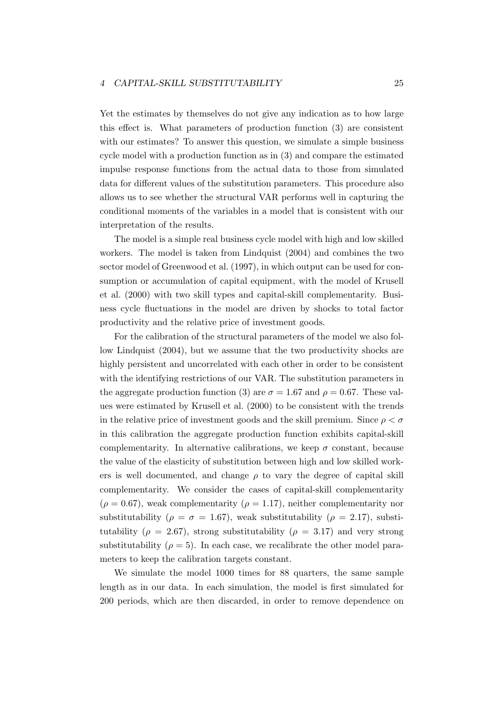Yet the estimates by themselves do not give any indication as to how large this effect is. What parameters of production function (3) are consistent with our estimates? To answer this question, we simulate a simple business cycle model with a production function as in (3) and compare the estimated impulse response functions from the actual data to those from simulated data for different values of the substitution parameters. This procedure also allows us to see whether the structural VAR performs well in capturing the conditional moments of the variables in a model that is consistent with our interpretation of the results.

The model is a simple real business cycle model with high and low skilled workers. The model is taken from Lindquist (2004) and combines the two sector model of Greenwood et al. (1997), in which output can be used for consumption or accumulation of capital equipment, with the model of Krusell et al. (2000) with two skill types and capital-skill complementarity. Business cycle fluctuations in the model are driven by shocks to total factor productivity and the relative price of investment goods.

For the calibration of the structural parameters of the model we also follow Lindquist (2004), but we assume that the two productivity shocks are highly persistent and uncorrelated with each other in order to be consistent with the identifying restrictions of our VAR. The substitution parameters in the aggregate production function (3) are  $\sigma = 1.67$  and  $\rho = 0.67$ . These values were estimated by Krusell et al. (2000) to be consistent with the trends in the relative price of investment goods and the skill premium. Since  $\rho < \sigma$ in this calibration the aggregate production function exhibits capital-skill complementarity. In alternative calibrations, we keep  $\sigma$  constant, because the value of the elasticity of substitution between high and low skilled workers is well documented, and change  $\rho$  to vary the degree of capital skill complementarity. We consider the cases of capital-skill complementarity  $(\rho = 0.67)$ , weak complementarity  $(\rho = 1.17)$ , neither complementarity nor substitutability ( $\rho = \sigma = 1.67$ ), weak substitutability ( $\rho = 2.17$ ), substitutability ( $\rho = 2.67$ ), strong substitutability ( $\rho = 3.17$ ) and very strong substitutability ( $\rho = 5$ ). In each case, we recalibrate the other model parameters to keep the calibration targets constant.

We simulate the model 1000 times for 88 quarters, the same sample length as in our data. In each simulation, the model is first simulated for 200 periods, which are then discarded, in order to remove dependence on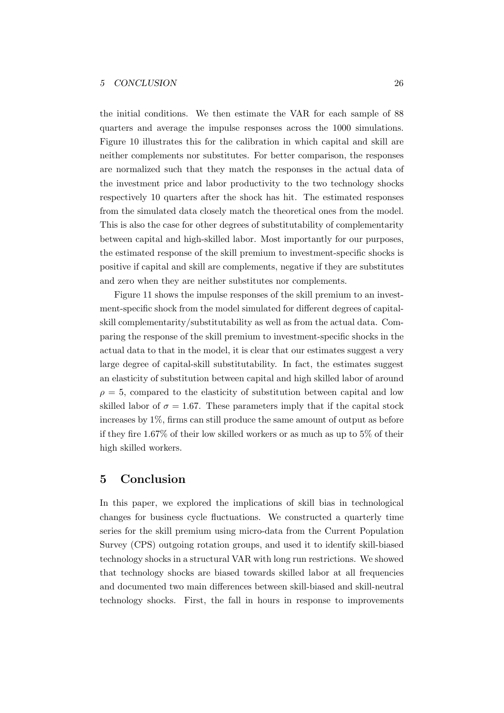the initial conditions. We then estimate the VAR for each sample of 88 quarters and average the impulse responses across the 1000 simulations. Figure 10 illustrates this for the calibration in which capital and skill are neither complements nor substitutes. For better comparison, the responses are normalized such that they match the responses in the actual data of the investment price and labor productivity to the two technology shocks respectively 10 quarters after the shock has hit. The estimated responses from the simulated data closely match the theoretical ones from the model. This is also the case for other degrees of substitutability of complementarity between capital and high-skilled labor. Most importantly for our purposes, the estimated response of the skill premium to investment-specific shocks is positive if capital and skill are complements, negative if they are substitutes and zero when they are neither substitutes nor complements.

Figure 11 shows the impulse responses of the skill premium to an investment-specific shock from the model simulated for different degrees of capitalskill complementarity/substitutability as well as from the actual data. Comparing the response of the skill premium to investment-specific shocks in the actual data to that in the model, it is clear that our estimates suggest a very large degree of capital-skill substitutability. In fact, the estimates suggest an elasticity of substitution between capital and high skilled labor of around  $\rho = 5$ , compared to the elasticity of substitution between capital and low skilled labor of  $\sigma = 1.67$ . These parameters imply that if the capital stock increases by 1%, firms can still produce the same amount of output as before if they fire 1.67% of their low skilled workers or as much as up to 5% of their high skilled workers.

### 5 Conclusion

In this paper, we explored the implications of skill bias in technological changes for business cycle fluctuations. We constructed a quarterly time series for the skill premium using micro-data from the Current Population Survey (CPS) outgoing rotation groups, and used it to identify skill-biased technology shocks in a structural VAR with long run restrictions. We showed that technology shocks are biased towards skilled labor at all frequencies and documented two main differences between skill-biased and skill-neutral technology shocks. First, the fall in hours in response to improvements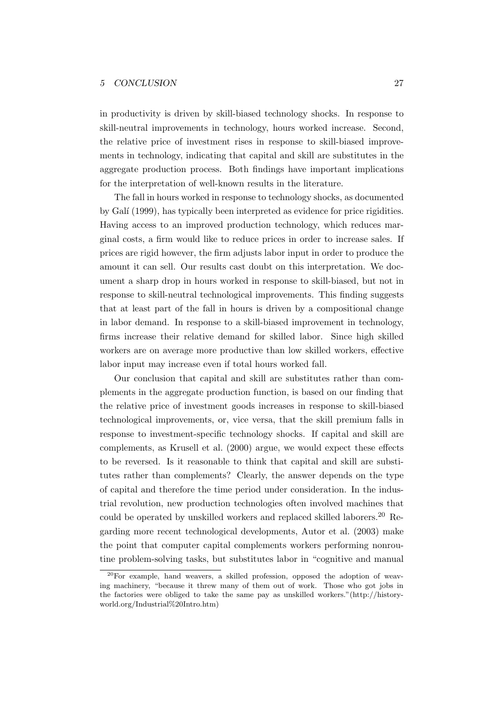#### 5 CONCLUSION 27

in productivity is driven by skill-biased technology shocks. In response to skill-neutral improvements in technology, hours worked increase. Second, the relative price of investment rises in response to skill-biased improvements in technology, indicating that capital and skill are substitutes in the aggregate production process. Both findings have important implications for the interpretation of well-known results in the literature.

The fall in hours worked in response to technology shocks, as documented by Gal´ı (1999), has typically been interpreted as evidence for price rigidities. Having access to an improved production technology, which reduces marginal costs, a firm would like to reduce prices in order to increase sales. If prices are rigid however, the firm adjusts labor input in order to produce the amount it can sell. Our results cast doubt on this interpretation. We document a sharp drop in hours worked in response to skill-biased, but not in response to skill-neutral technological improvements. This finding suggests that at least part of the fall in hours is driven by a compositional change in labor demand. In response to a skill-biased improvement in technology, firms increase their relative demand for skilled labor. Since high skilled workers are on average more productive than low skilled workers, effective labor input may increase even if total hours worked fall.

Our conclusion that capital and skill are substitutes rather than complements in the aggregate production function, is based on our finding that the relative price of investment goods increases in response to skill-biased technological improvements, or, vice versa, that the skill premium falls in response to investment-specific technology shocks. If capital and skill are complements, as Krusell et al. (2000) argue, we would expect these effects to be reversed. Is it reasonable to think that capital and skill are substitutes rather than complements? Clearly, the answer depends on the type of capital and therefore the time period under consideration. In the industrial revolution, new production technologies often involved machines that could be operated by unskilled workers and replaced skilled laborers.<sup>20</sup> Regarding more recent technological developments, Autor et al. (2003) make the point that computer capital complements workers performing nonroutine problem-solving tasks, but substitutes labor in "cognitive and manual

<sup>20</sup>For example, hand weavers, a skilled profession, opposed the adoption of weaving machinery, "because it threw many of them out of work. Those who got jobs in the factories were obliged to take the same pay as unskilled workers."(http://historyworld.org/Industrial%20Intro.htm)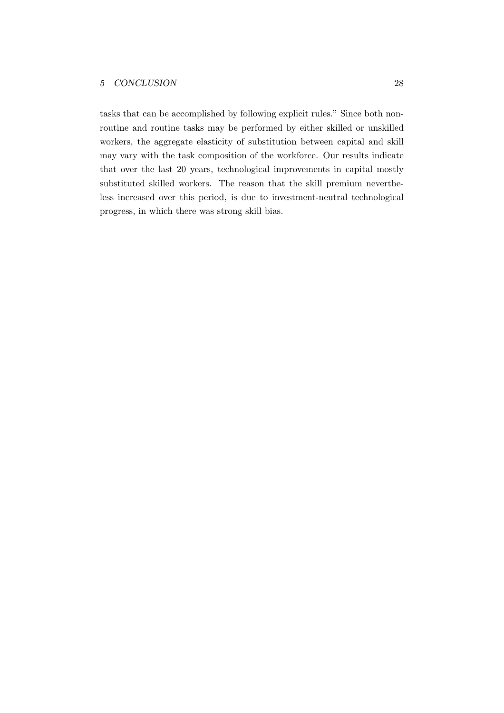tasks that can be accomplished by following explicit rules." Since both nonroutine and routine tasks may be performed by either skilled or unskilled workers, the aggregate elasticity of substitution between capital and skill may vary with the task composition of the workforce. Our results indicate that over the last 20 years, technological improvements in capital mostly substituted skilled workers. The reason that the skill premium nevertheless increased over this period, is due to investment-neutral technological progress, in which there was strong skill bias.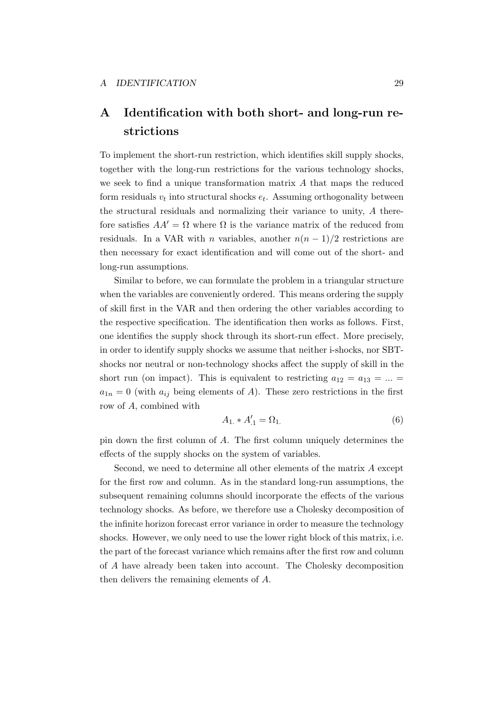# A Identification with both short- and long-run restrictions

To implement the short-run restriction, which identifies skill supply shocks, together with the long-run restrictions for the various technology shocks, we seek to find a unique transformation matrix A that maps the reduced form residuals  $v_t$  into structural shocks  $e_t$ . Assuming orthogonality between the structural residuals and normalizing their variance to unity, A therefore satisfies  $AA' = \Omega$  where  $\Omega$  is the variance matrix of the reduced from residuals. In a VAR with *n* variables, another  $n(n-1)/2$  restrictions are then necessary for exact identification and will come out of the short- and long-run assumptions.

Similar to before, we can formulate the problem in a triangular structure when the variables are conveniently ordered. This means ordering the supply of skill first in the VAR and then ordering the other variables according to the respective specification. The identification then works as follows. First, one identifies the supply shock through its short-run effect. More precisely, in order to identify supply shocks we assume that neither i-shocks, nor SBTshocks nor neutral or non-technology shocks affect the supply of skill in the short run (on impact). This is equivalent to restricting  $a_{12} = a_{13} = ... =$  $a_{1n} = 0$  (with  $a_{ij}$  being elements of A). These zero restrictions in the first row of A, combined with

$$
A_{1.} * A'_{.1} = \Omega_{1.} \tag{6}
$$

pin down the first column of A. The first column uniquely determines the effects of the supply shocks on the system of variables.

Second, we need to determine all other elements of the matrix A except for the first row and column. As in the standard long-run assumptions, the subsequent remaining columns should incorporate the effects of the various technology shocks. As before, we therefore use a Cholesky decomposition of the infinite horizon forecast error variance in order to measure the technology shocks. However, we only need to use the lower right block of this matrix, i.e. the part of the forecast variance which remains after the first row and column of A have already been taken into account. The Cholesky decomposition then delivers the remaining elements of A.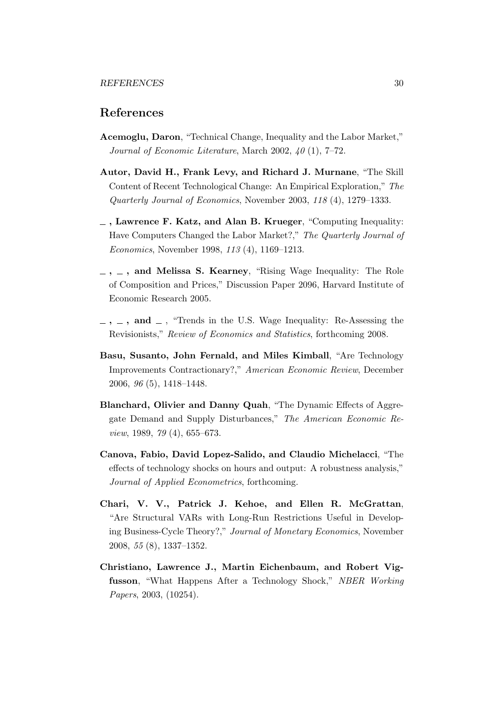### References

- Acemoglu, Daron, "Technical Change, Inequality and the Labor Market," Journal of Economic Literature, March 2002, 40 (1), 7–72.
- Autor, David H., Frank Levy, and Richard J. Murnane, "The Skill Content of Recent Technological Change: An Empirical Exploration," The Quarterly Journal of Economics, November 2003, 118 (4), 1279–1333.
- $\overline{\phantom{a}}$ , Lawrence F. Katz, and Alan B. Krueger, "Computing Inequality: Have Computers Changed the Labor Market?," The Quarterly Journal of Economics, November 1998, 113 (4), 1169–1213.
- $\ldots$ ,  $\ldots$ , and Melissa S. Kearney, "Rising Wage Inequality: The Role of Composition and Prices," Discussion Paper 2096, Harvard Institute of Economic Research 2005.
- $-$ ,  $-$ , and  $-$ , "Trends in the U.S. Wage Inequality: Re-Assessing the Revisionists," Review of Economics and Statistics, forthcoming 2008.
- Basu, Susanto, John Fernald, and Miles Kimball, "Are Technology Improvements Contractionary?," American Economic Review, December 2006, 96 (5), 1418–1448.
- Blanchard, Olivier and Danny Quah, "The Dynamic Effects of Aggregate Demand and Supply Disturbances," The American Economic Review, 1989, 79 (4), 655–673.
- Canova, Fabio, David Lopez-Salido, and Claudio Michelacci, "The effects of technology shocks on hours and output: A robustness analysis," Journal of Applied Econometrics, forthcoming.
- Chari, V. V., Patrick J. Kehoe, and Ellen R. McGrattan, "Are Structural VARs with Long-Run Restrictions Useful in Developing Business-Cycle Theory?," Journal of Monetary Economics, November 2008, 55 (8), 1337–1352.
- Christiano, Lawrence J., Martin Eichenbaum, and Robert Vigfusson, "What Happens After a Technology Shock," NBER Working Papers, 2003, (10254).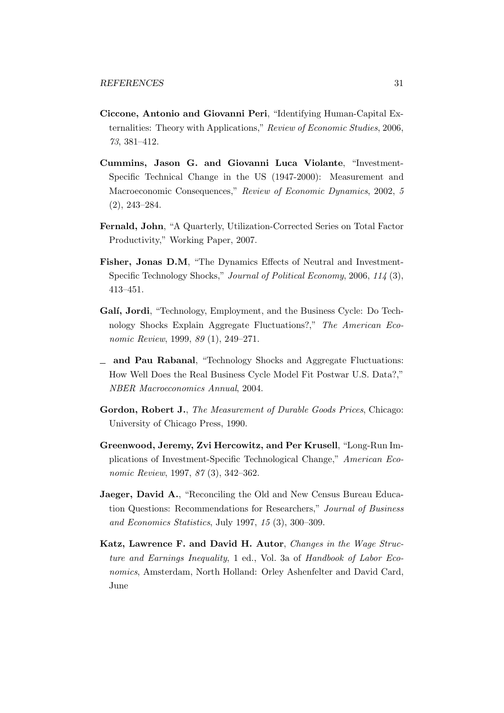- Ciccone, Antonio and Giovanni Peri, "Identifying Human-Capital Externalities: Theory with Applications," Review of Economic Studies, 2006, 73, 381–412.
- Cummins, Jason G. and Giovanni Luca Violante, "Investment-Specific Technical Change in the US (1947-2000): Measurement and Macroeconomic Consequences," Review of Economic Dynamics, 2002, 5 (2), 243–284.
- Fernald, John, "A Quarterly, Utilization-Corrected Series on Total Factor Productivity," Working Paper, 2007.
- Fisher, Jonas D.M, "The Dynamics Effects of Neutral and Investment-Specific Technology Shocks," Journal of Political Economy, 2006, 114 (3), 413–451.
- Galí, Jordi, "Technology, Employment, and the Business Cycle: Do Technology Shocks Explain Aggregate Fluctuations?," The American Economic Review, 1999, 89 (1), 249–271.
- $\equiv$  and Pau Rabanal, "Technology Shocks and Aggregate Fluctuations: How Well Does the Real Business Cycle Model Fit Postwar U.S. Data?," NBER Macroeconomics Annual, 2004.
- Gordon, Robert J., The Measurement of Durable Goods Prices, Chicago: University of Chicago Press, 1990.
- Greenwood, Jeremy, Zvi Hercowitz, and Per Krusell, "Long-Run Implications of Investment-Specific Technological Change," American Economic Review, 1997, 87 (3), 342–362.
- Jaeger, David A., "Reconciling the Old and New Census Bureau Education Questions: Recommendations for Researchers," Journal of Business and Economics Statistics, July 1997, 15 (3), 300–309.
- Katz, Lawrence F. and David H. Autor, Changes in the Wage Structure and Earnings Inequality, 1 ed., Vol. 3a of Handbook of Labor Economics, Amsterdam, North Holland: Orley Ashenfelter and David Card, June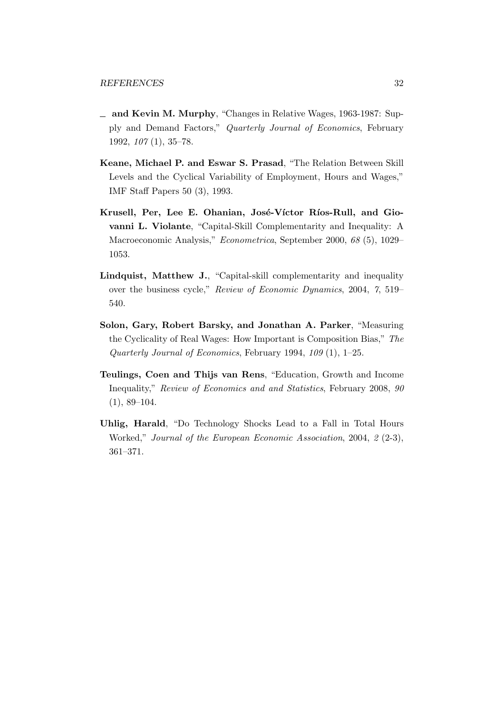- and Kevin M. Murphy, "Changes in Relative Wages, 1963-1987: Supply and Demand Factors," Quarterly Journal of Economics, February 1992, 107 (1), 35–78.
- Keane, Michael P. and Eswar S. Prasad, "The Relation Between Skill Levels and the Cyclical Variability of Employment, Hours and Wages," IMF Staff Papers 50 (3), 1993.
- Krusell, Per, Lee E. Ohanian, José-Víctor Ríos-Rull, and Giovanni L. Violante, "Capital-Skill Complementarity and Inequality: A Macroeconomic Analysis," Econometrica, September 2000, 68 (5), 1029– 1053.
- Lindquist, Matthew J., "Capital-skill complementarity and inequality over the business cycle," Review of Economic Dynamics, 2004, 7, 519– 540.
- Solon, Gary, Robert Barsky, and Jonathan A. Parker, "Measuring the Cyclicality of Real Wages: How Important is Composition Bias," The Quarterly Journal of Economics, February 1994, 109 (1), 1–25.
- Teulings, Coen and Thijs van Rens, "Education, Growth and Income Inequality," Review of Economics and and Statistics, February 2008, 90  $(1), 89-104.$
- Uhlig, Harald, "Do Technology Shocks Lead to a Fall in Total Hours Worked," Journal of the European Economic Association, 2004, 2 (2-3), 361–371.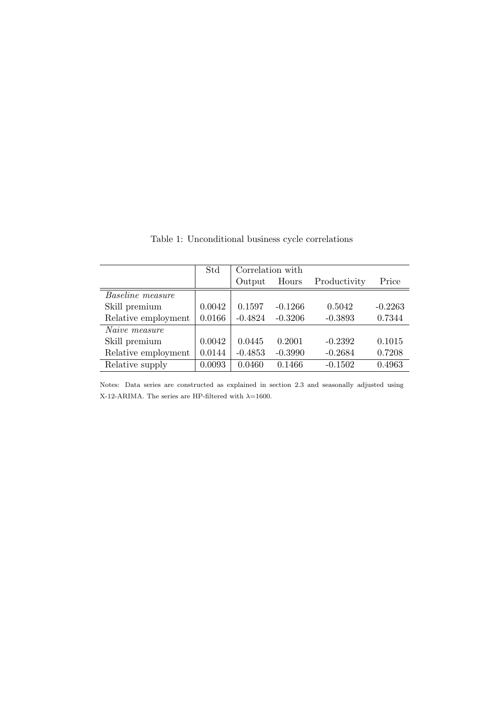|                         | Std    | Correlation with |           |              |           |
|-------------------------|--------|------------------|-----------|--------------|-----------|
|                         |        | Output           | Hours     | Productivity | Price     |
| <b>Baseline</b> measure |        |                  |           |              |           |
| Skill premium           | 0.0042 | 0.1597           | $-0.1266$ | 0.5042       | $-0.2263$ |
| Relative employment     | 0.0166 | $-0.4824$        | $-0.3206$ | $-0.3893$    | 0.7344    |
| Naive measure           |        |                  |           |              |           |
| Skill premium           | 0.0042 | 0.0445           | 0.2001    | $-0.2392$    | 0.1015    |
| Relative employment     | 0.0144 | $-0.4853$        | $-0.3990$ | $-0.2684$    | 0.7208    |
| Relative supply         | 0.0093 | 0.0460           | 0.1466    | $-0.1502$    | 0.4963    |

Table 1: Unconditional business cycle correlations

Notes: Data series are constructed as explained in section 2.3 and seasonally adjusted using X-12-ARIMA. The series are HP-filtered with  $\lambda$ =1600.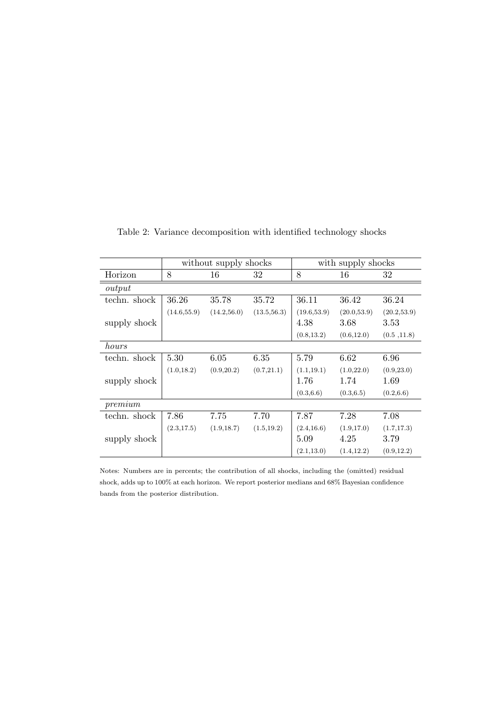|                    | without supply shocks |              |              | with supply shocks |              |              |  |
|--------------------|-----------------------|--------------|--------------|--------------------|--------------|--------------|--|
| Horizon            | 8                     | 16           | 32           | 8                  | 16           | 32           |  |
| output             |                       |              |              |                    |              |              |  |
| techn. shock       | 36.26                 | 35.78        | 35.72        | 36.11              | 36.42        | 36.24        |  |
|                    | (14.6, 55.9)          | (14.2, 56.0) | (13.5, 56.3) | (19.6, 53.9)       | (20.0, 53.9) | (20.2, 53.9) |  |
| supply shock       |                       |              |              | 4.38               | 3.68         | 3.53         |  |
|                    |                       |              |              | (0.8, 13.2)        | (0.6, 12.0)  | (0.5, 11.8)  |  |
| hours              |                       |              |              |                    |              |              |  |
| techn. shock       | 5.30                  | 6.05         | 6.35         | 5.79               | 6.62         | 6.96         |  |
|                    | (1.0, 18.2)           | (0.9, 20.2)  | (0.7, 21.1)  | (1.1, 19.1)        | (1.0, 22.0)  | (0.9, 23.0)  |  |
| supply shock       |                       |              |              | 1.76               | 1.74         | 1.69         |  |
|                    |                       |              |              | (0.3, 6.6)         | (0.3, 6.5)   | (0.2, 6.6)   |  |
| $\mathit{premium}$ |                       |              |              |                    |              |              |  |
| techn. shock       | 7.86                  | 7.75         | 7.70         | 7.87               | 7.28         | 7.08         |  |
|                    | (2.3, 17.5)           | (1.9, 18.7)  | (1.5, 19.2)  | (2.4, 16.6)        | (1.9, 17.0)  | (1.7, 17.3)  |  |
| supply shock       |                       |              |              | 5.09               | 4.25         | 3.79         |  |
|                    |                       |              |              | (2.1, 13.0)        | (1.4, 12.2)  | (0.9, 12.2)  |  |

Table 2: Variance decomposition with identified technology shocks

Notes: Numbers are in percents; the contribution of all shocks, including the (omitted) residual shock, adds up to 100% at each horizon. We report posterior medians and 68% Bayesian confidence bands from the posterior distribution.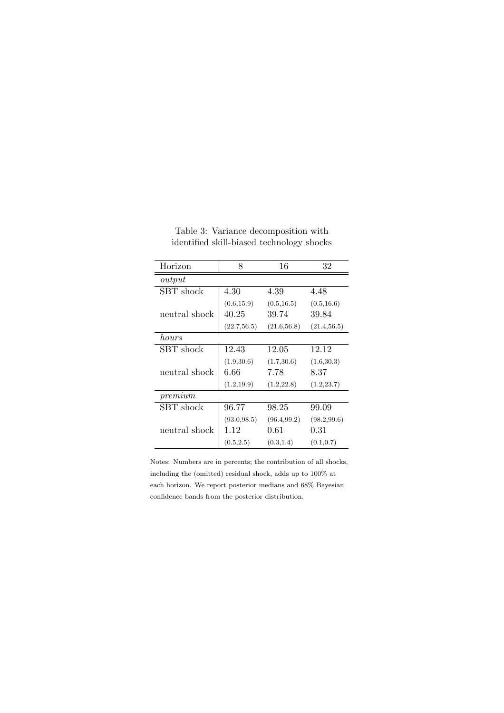| Horizon           | 8            | 16           | 32           |  |  |  |
|-------------------|--------------|--------------|--------------|--|--|--|
| output            |              |              |              |  |  |  |
| SBT shock         | 4.30         | 4.39         | 4.48         |  |  |  |
|                   | (0.6, 15.9)  | (0.5, 16.5)  | (0.5, 16.6)  |  |  |  |
| neutral shock     | 40.25        | 39.74        | 39.84        |  |  |  |
|                   | (22.7, 56.5) | (21.6, 56.8) | (21.4, 56.5) |  |  |  |
| hours             |              |              |              |  |  |  |
| SBT shock         | 12.43        | 12.05        | 12.12        |  |  |  |
|                   | (1.9, 30.6)  | (1.7, 30.6)  | (1.6, 30.3)  |  |  |  |
| neutral shock     | 6.66         | 7.78         | 8.37         |  |  |  |
|                   | (1.2, 19.9)  | (1.2, 22.8)  | (1.2, 23.7)  |  |  |  |
| $\mathit{premum}$ |              |              |              |  |  |  |
| SBT shock         | 96.77        | 98.25        | 99.09        |  |  |  |
|                   | (93.0, 98.5) | (96.4, 99.2) | (98.2, 99.6) |  |  |  |
| neutral shock     | 1.12         | 0.61         | 0.31         |  |  |  |
|                   | (0.5, 2.5)   | (0.3, 1.4)   | (0.1, 0.7)   |  |  |  |

Table 3: Variance decomposition with identified skill-biased technology shocks

Notes: Numbers are in percents; the contribution of all shocks, including the (omitted) residual shock, adds up to 100% at each horizon. We report posterior medians and 68% Bayesian confidence bands from the posterior distribution.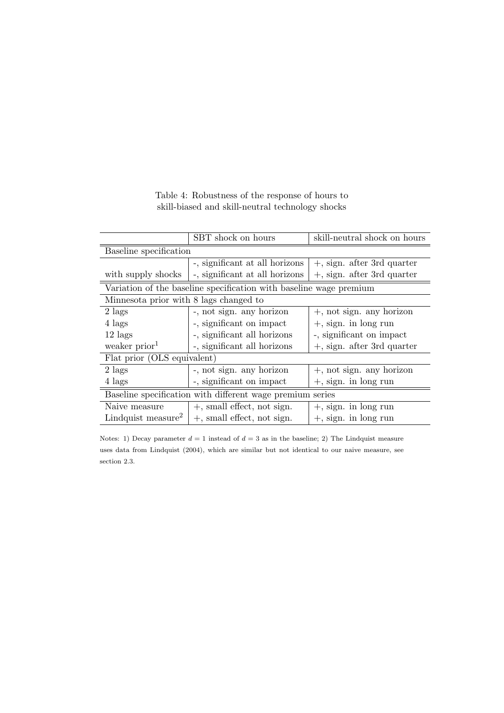|                                                                    | SBT shock on hours<br>skill-neutral shock on hours |                               |  |  |  |  |
|--------------------------------------------------------------------|----------------------------------------------------|-------------------------------|--|--|--|--|
| Baseline specification                                             |                                                    |                               |  |  |  |  |
|                                                                    | -, significant at all horizons                     | $+$ , sign. after 3rd quarter |  |  |  |  |
| with supply shocks                                                 | -, significant at all horizons                     | $+$ , sign. after 3rd quarter |  |  |  |  |
| Variation of the baseline specification with baseline wage premium |                                                    |                               |  |  |  |  |
| Minnesota prior with 8 lags changed to                             |                                                    |                               |  |  |  |  |
| $2$ lags                                                           | -, not sign. any horizon                           | $+$ , not sign. any horizon   |  |  |  |  |
| 4 lags                                                             | -, significant on impact                           | $+$ , sign. in long run       |  |  |  |  |
| $12 \text{ lags}$                                                  | -, significant all horizons                        | -, significant on impact      |  |  |  |  |
| weaker prior <sup>1</sup>                                          | -, significant all horizons                        | $+$ , sign. after 3rd quarter |  |  |  |  |
| Flat prior (OLS equivalent)                                        |                                                    |                               |  |  |  |  |
| $2$ lags                                                           | -, not sign. any horizon                           | $+$ , not sign. any horizon   |  |  |  |  |
| 4 lags                                                             | -, significant on impact                           | $+$ , sign. in long run       |  |  |  |  |
| Baseline specification with different wage premium series          |                                                    |                               |  |  |  |  |
| Naive measure                                                      | $+$ , small effect, not sign.                      | $+$ , sign. in long run       |  |  |  |  |
| Lindquist measure <sup>2</sup>                                     | $+$ , small effect, not sign.                      | $+$ , sign. in long run       |  |  |  |  |

Table 4: Robustness of the response of hours to skill-biased and skill-neutral technology shocks

Notes: 1) Decay parameter  $d = 1$  instead of  $d = 3$  as in the baseline; 2) The Lindquist measure uses data from Lindquist (2004), which are similar but not identical to our naive measure, see section 2.3.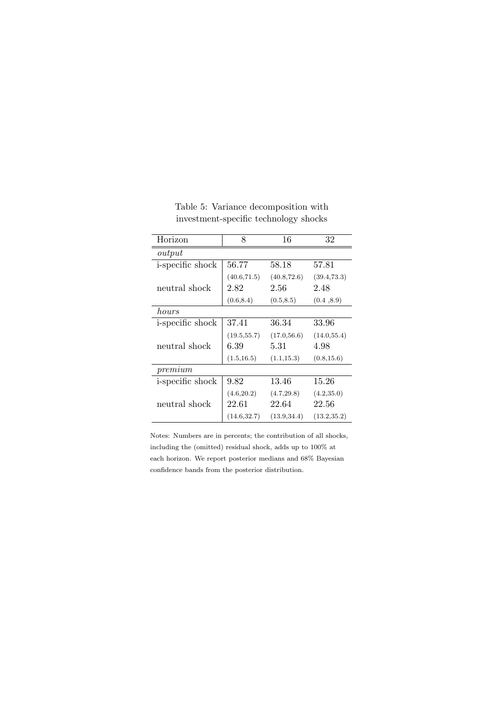| Horizon                  | 8            | 16           | 32           |  |  |  |
|--------------------------|--------------|--------------|--------------|--|--|--|
| output                   |              |              |              |  |  |  |
| i-specific shock         | 56.77        | 58.18        | 57.81        |  |  |  |
|                          | (40.6, 71.5) | (40.8, 72.6) | (39.4, 73.3) |  |  |  |
| neutral shock            | 2.82         | 2.56         | 2.48         |  |  |  |
|                          | (0.6, 8.4)   | (0.5, 8.5)   | (0.4, 8.9)   |  |  |  |
| hours                    |              |              |              |  |  |  |
| <i>i</i> -specific shock | 37.41        | 36.34        | 33.96        |  |  |  |
|                          | (19.5, 55.7) | (17.0, 56.6) | (14.0, 55.4) |  |  |  |
| neutral shock            | 6.39         | 5.31         | 4.98         |  |  |  |
|                          | (1.5, 16.5)  | (1.1, 15.3)  | (0.8, 15.6)  |  |  |  |
| premium                  |              |              |              |  |  |  |
| <i>i</i> -specific shock | 9.82         | 13.46        | 15.26        |  |  |  |
|                          | (4.6, 20.2)  | (4.7, 29.8)  | (4.2, 35.0)  |  |  |  |
| neutral shock            | 22.61        | 22.64        | 22.56        |  |  |  |
|                          | (14.6, 32.7) | (13.9, 34.4) | (13.2, 35.2) |  |  |  |

Table 5: Variance decomposition with investment-specific technology shocks

Notes: Numbers are in percents; the contribution of all shocks, including the (omitted) residual shock, adds up to 100% at each horizon. We report posterior medians and 68% Bayesian confidence bands from the posterior distribution.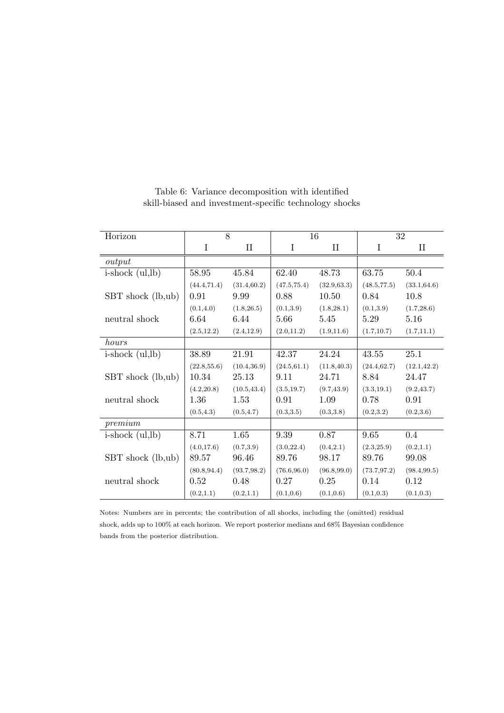| Horizon              | 8            |              | 16           |              | 32           |              |
|----------------------|--------------|--------------|--------------|--------------|--------------|--------------|
|                      | I            | $\rm II$     | I            | $\rm II$     | $\bf I$      | $\rm II$     |
| output               |              |              |              |              |              |              |
| $i$ -shock $(ul,lb)$ | 58.95        | 45.84        | 62.40        | 48.73        | 63.75        | 50.4         |
|                      | (44.4, 71.4) | (31.4, 60.2) | (47.5, 75.4) | (32.9, 63.3) | (48.5, 77.5) | (33.1, 64.6) |
| SBT shock (lb,ub)    | 0.91         | 9.99         | 0.88         | 10.50        | 0.84         | 10.8         |
|                      | (0.1, 4.0)   | (1.8, 26.5)  | (0.1, 3.9)   | (1.8, 28.1)  | (0.1, 3.9)   | (1.7, 28.6)  |
| neutral shock        | 6.64         | 6.44         | 5.66         | 5.45         | 5.29         | 5.16         |
|                      | (2.5, 12.2)  | (2.4, 12.9)  | (2.0, 11.2)  | (1.9, 11.6)  | (1.7, 10.7)  | (1.7, 11.1)  |
| hours                |              |              |              |              |              |              |
| $i$ -shock $(ul,lb)$ | 38.89        | 21.91        | 42.37        | 24.24        | 43.55        | 25.1         |
|                      | (22.8, 55.6) | (10.4, 36.9) | (24.5, 61.1) | (11.8, 40.3) | (24.4, 62.7) | (12.1, 42.2) |
| SBT shock (lb,ub)    | 10.34        | 25.13        | 9.11         | 24.71        | 8.84         | 24.47        |
|                      | (4.2, 20.8)  | (10.5, 43.4) | (3.5, 19.7)  | (9.7, 43.9)  | (3.3, 19.1)  | (9.2, 43.7)  |
| neutral shock        | 1.36         | 1.53         | 0.91         | 1.09         | 0.78         | 0.91         |
|                      | (0.5, 4.3)   | (0.5, 4.7)   | (0.3, 3.5)   | (0.3, 3.8)   | (0.2, 3.2)   | (0.2, 3.6)   |
| $\epsilon$           |              |              |              |              |              |              |
| $i$ -shock $(ul,lb)$ | 8.71         | 1.65         | 9.39         | 0.87         | 9.65         | 0.4          |
|                      | (4.0, 17.6)  | (0.7, 3.9)   | (3.0, 22.4)  | (0.4, 2.1)   | (2.3, 25.9)  | (0.2, 1.1)   |
| SBT shock (lb,ub)    | 89.57        | 96.46        | 89.76        | 98.17        | 89.76        | 99.08        |
|                      | (80.8, 94.4) | (93.7, 98.2) | (76.6, 96.0) | (96.8, 99.0) | (73.7, 97.2) | (98.4, 99.5) |
| neutral shock        | 0.52         | 0.48         | 0.27         | 0.25         | 0.14         | 0.12         |
|                      | (0.2, 1.1)   | (0.2, 1.1)   | (0.1, 0.6)   | (0.1, 0.6)   | (0.1, 0.3)   | (0.1, 0.3)   |

Table 6: Variance decomposition with identified skill-biased and investment-specific technology shocks

Notes: Numbers are in percents; the contribution of all shocks, including the (omitted) residual shock, adds up to 100% at each horizon. We report posterior medians and 68% Bayesian confidence bands from the posterior distribution.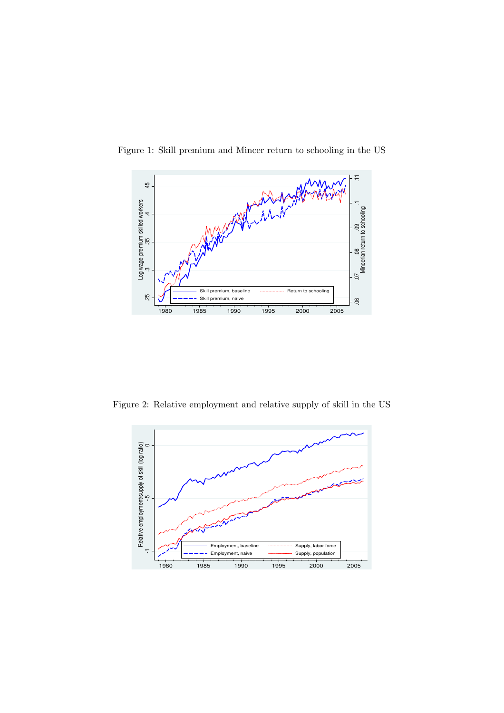

Figure 1: Skill premium and Mincer return to schooling in the US

Figure 2: Relative employment and relative supply of skill in the US

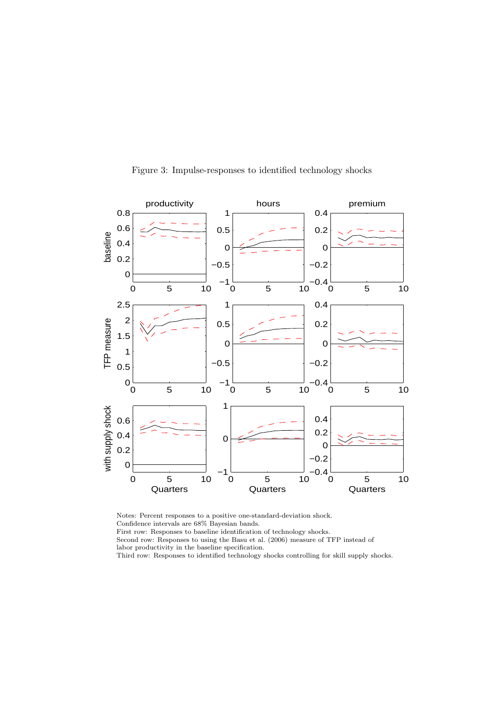

Figure 3: Impulse-responses to identified technology shocks

Notes: Percent responses to a positive one-standard-deviation shock. Confidence intervals are 68% Bayesian bands.

First row: Responses to baseline identification of technology shocks.

Second row: Responses to using the Basu et al. (2006) measure of TFP instead of labor productivity in the baseline specification.

Third row: Responses to identified technology shocks controlling for skill supply shocks.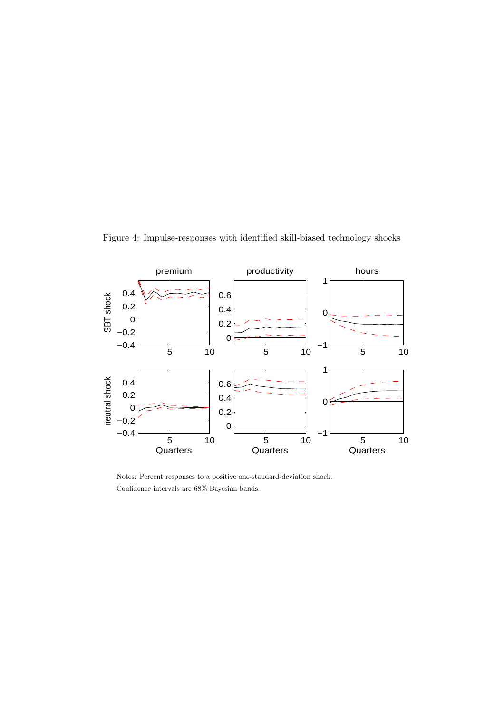Figure 4: Impulse-responses with identified skill-biased technology shocks



Notes: Percent responses to a positive one-standard-deviation shock. Confidence intervals are 68% Bayesian bands.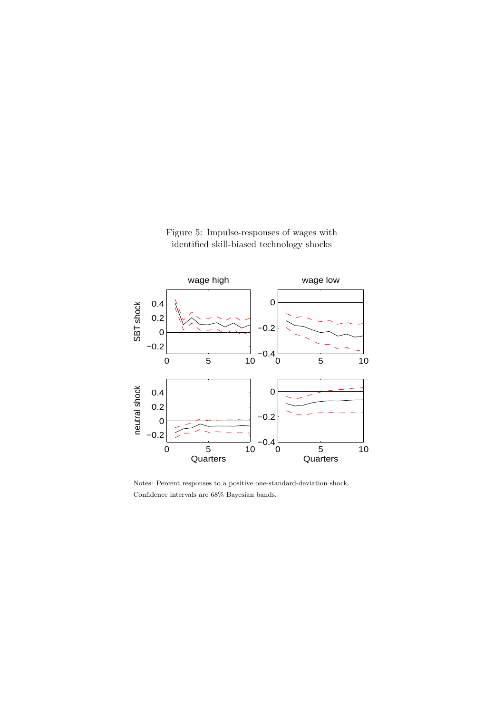

Figure 5: Impulse-responses of wages with identified skill-biased technology shocks

Notes: Percent responses to a positive one-standard-deviation shock. Confidence intervals are 68% Bayesian bands.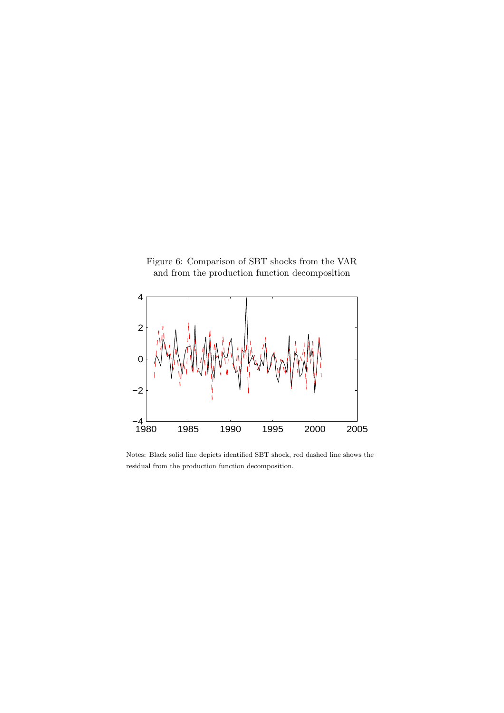



Notes: Black solid line depicts identified SBT shock, red dashed line shows the residual from the production function decomposition.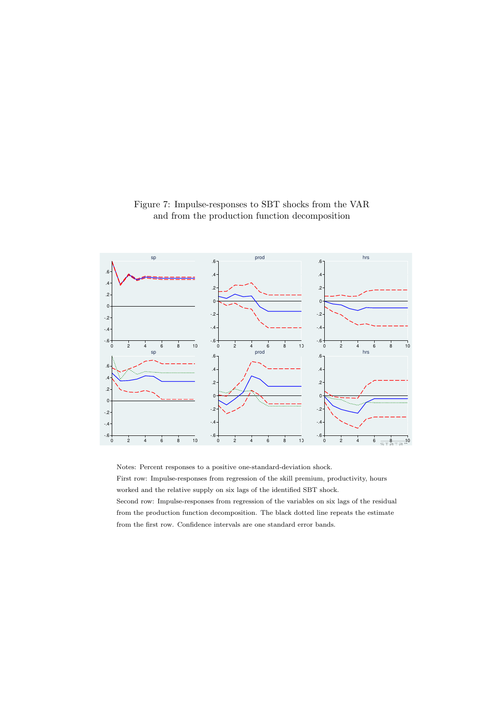

Figure 7: Impulse-responses to SBT shocks from the VAR and from the production function decomposition

Notes: Percent responses to a positive one-standard-deviation shock.

First row: Impulse-responses from regression of the skill premium, productivity, hours worked and the relative supply on six lags of the identified SBT shock. Second row: Impulse-responses from regression of the variables on six lags of the residual

from the production function decomposition. The black dotted line repeats the estimate from the first row. Confidence intervals are one standard error bands.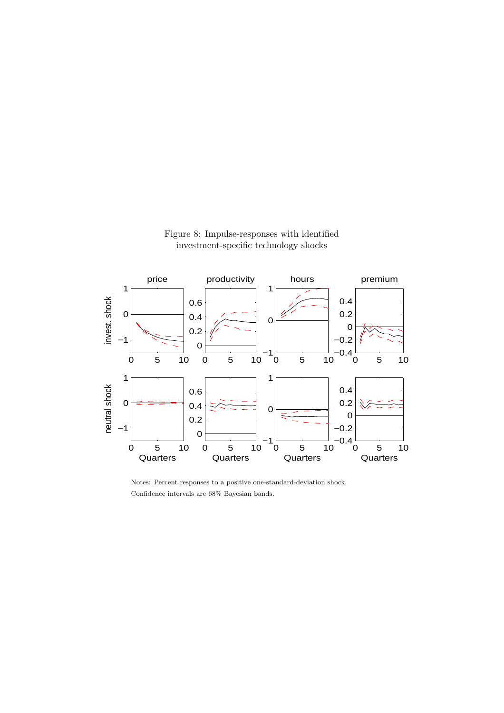

Figure 8: Impulse-responses with identified investment-specific technology shocks

Notes: Percent responses to a positive one-standard-deviation shock. Confidence intervals are 68% Bayesian bands.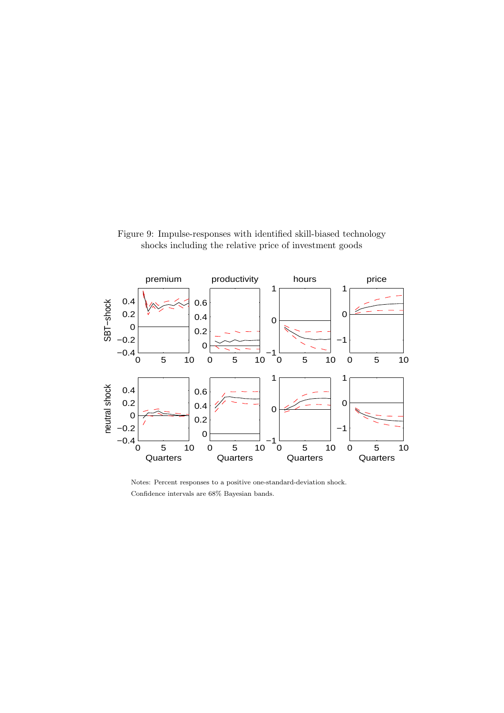



Notes: Percent responses to a positive one-standard-deviation shock. Confidence intervals are 68% Bayesian bands.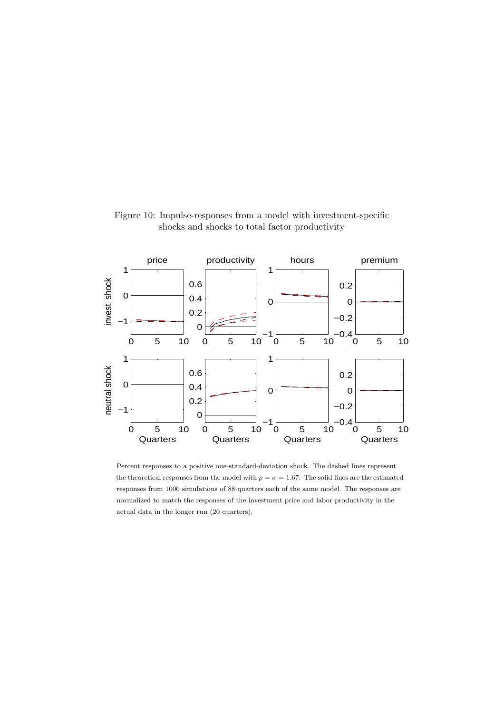

Figure 10: Impulse-responses from a model with investment-specific shocks and shocks to total factor productivity

Percent responses to a positive one-standard-deviation shock. The dashed lines represent the theoretical responses from the model with  $\rho = \sigma = 1.67$ . The solid lines are the estimated responses from 1000 simulations of 88 quarters each of the same model. The responses are normalized to match the responses of the investment price and labor productivity in the actual data in the longer run (20 quarters).